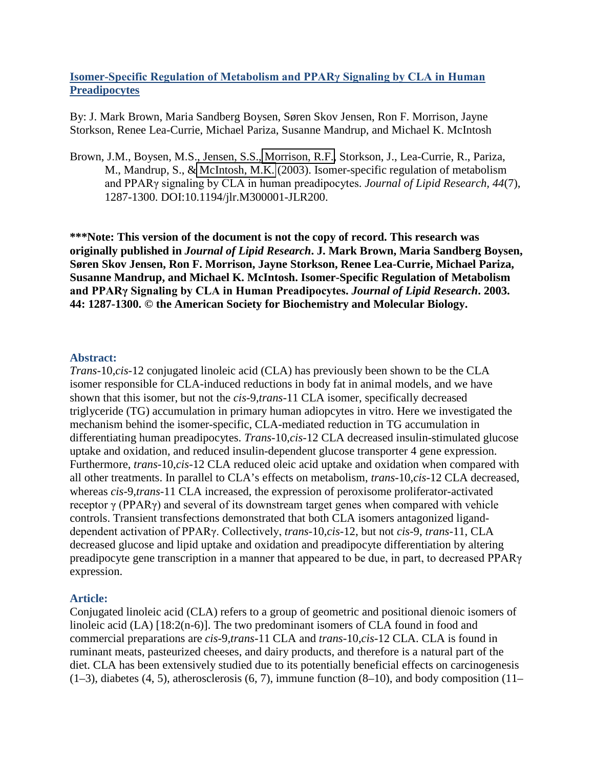## **Isomer-Specific Regulation of Metabolism and PPARγ Signaling by CLA in Human Preadipocytes**

By: J. Mark Brown, Maria Sandberg Boysen, Søren Skov Jensen, Ron F. Morrison, Jayne Storkson, Renee Lea-Currie, Michael Pariza, Susanne Mandrup, and Michael K. McIntosh

Brown, J.M., Boysen, M.S., Jensen, S.S., [Morrison, R.F.,](http://libres.uncg.edu/ir/clist.aspx?id=1320) Storkson, J., Lea-Currie, R., Pariza, M., Mandrup, S., & [McIntosh, M.K.](http://libres.uncg.edu/ir/clist.aspx?id=1281) (2003). Isomer-specific regulation of metabolism and PPARγ signaling by CLA in human preadipocytes. *Journal of Lipid Research, 44*(7), 1287-1300. DOI:10.1194/jlr.M300001-JLR200.

**\*\*\*Note: This version of the document is not the copy of record. This research was originally published in** *Journal of Lipid Research***. J. Mark Brown, Maria Sandberg Boysen, Søren Skov Jensen, Ron F. Morrison, Jayne Storkson, Renee Lea-Currie, Michael Pariza, Susanne Mandrup, and Michael K. McIntosh. Isomer-Specific Regulation of Metabolism and PPARγ Signaling by CLA in Human Preadipocytes.** *Journal of Lipid Research***. 2003. 44: 1287-1300. © the American Society for Biochemistry and Molecular Biology.**

### **Abstract:**

*Trans*-10,*cis*-12 conjugated linoleic acid (CLA) has previously been shown to be the CLA isomer responsible for CLA-induced reductions in body fat in animal models, and we have shown that this isomer, but not the *cis*-9,*trans*-11 CLA isomer, specifically decreased triglyceride (TG) accumulation in primary human adiopcytes in vitro. Here we investigated the mechanism behind the isomer-specific, CLA-mediated reduction in TG accumulation in differentiating human preadipocytes. *Trans*-10,*cis*-12 CLA decreased insulin-stimulated glucose uptake and oxidation, and reduced insulin-dependent glucose transporter 4 gene expression. Furthermore, *trans*-10,*cis*-12 CLA reduced oleic acid uptake and oxidation when compared with all other treatments. In parallel to CLA's effects on metabolism, *trans*-10,*cis*-12 CLA decreased, whereas *cis*-9,*trans*-11 CLA increased, the expression of peroxisome proliferator-activated receptor  $γ$  (PPAR $γ$ ) and several of its downstream target genes when compared with vehicle controls. Transient transfections demonstrated that both CLA isomers antagonized liganddependent activation of PPARγ. Collectively, *trans*-10,*cis*-12, but not *cis*-9, *trans*-11, CLA decreased glucose and lipid uptake and oxidation and preadipocyte differentiation by altering preadipocyte gene transcription in a manner that appeared to be due, in part, to decreased PPARγ expression.

### **Article:**

Conjugated linoleic acid (CLA) refers to a group of geometric and positional dienoic isomers of linoleic acid (LA) [18:2(n-6)]. The two predominant isomers of CLA found in food and commercial preparations are *cis*-9,*trans*-11 CLA and *trans*-10,*cis*-12 CLA. CLA is found in ruminant meats, pasteurized cheeses, and dairy products, and therefore is a natural part of the diet. CLA has been extensively studied due to its potentially beneficial effects on carcinogenesis  $(1-3)$ , diabetes  $(4, 5)$ , atherosclerosis  $(6, 7)$ , immune function  $(8-10)$ , and body composition  $(11-$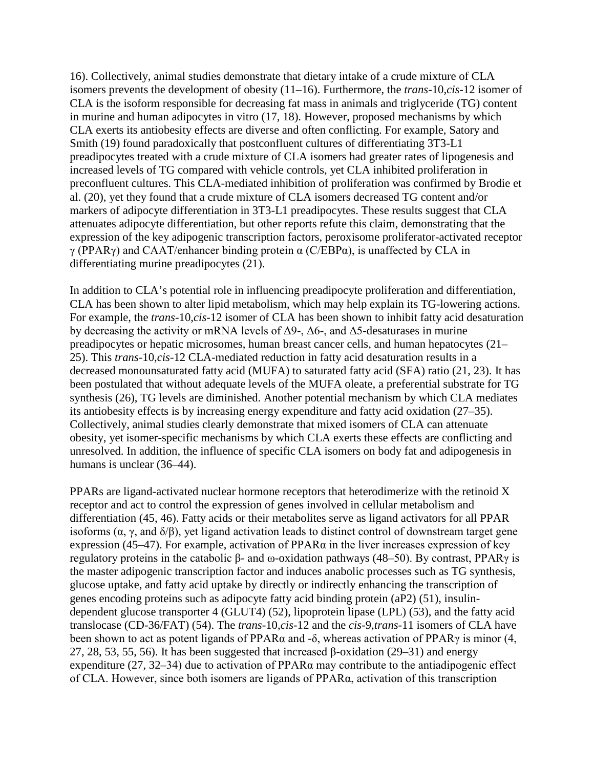16). Collectively, animal studies demonstrate that dietary intake of a crude mixture of CLA isomers prevents the development of obesity (11–16). Furthermore, the *trans*-10,*cis*-12 isomer of CLA is the isoform responsible for decreasing fat mass in animals and triglyceride (TG) content in murine and human adipocytes in vitro (17, 18). However, proposed mechanisms by which CLA exerts its antiobesity effects are diverse and often conflicting. For example, Satory and Smith (19) found paradoxically that postconfluent cultures of differentiating 3T3-L1 preadipocytes treated with a crude mixture of CLA isomers had greater rates of lipogenesis and increased levels of TG compared with vehicle controls, yet CLA inhibited proliferation in preconfluent cultures. This CLA-mediated inhibition of proliferation was confirmed by Brodie et al. (20), yet they found that a crude mixture of CLA isomers decreased TG content and/or markers of adipocyte differentiation in 3T3-L1 preadipocytes. These results suggest that CLA attenuates adipocyte differentiation, but other reports refute this claim, demonstrating that the expression of the key adipogenic transcription factors, peroxisome proliferator-activated receptor γ (PPARγ) and CAAT/enhancer binding protein α (C/EBPα), is unaffected by CLA in differentiating murine preadipocytes (21).

In addition to CLA's potential role in influencing preadipocyte proliferation and differentiation, CLA has been shown to alter lipid metabolism, which may help explain its TG-lowering actions. For example, the *trans*-10,*cis*-12 isomer of CLA has been shown to inhibit fatty acid desaturation by decreasing the activity or mRNA levels of  $\Delta$ 9-,  $\Delta$ 6-, and  $\Delta$ 5-desaturases in murine preadipocytes or hepatic microsomes, human breast cancer cells, and human hepatocytes (21– 25). This *trans*-10,*cis*-12 CLA-mediated reduction in fatty acid desaturation results in a decreased monounsaturated fatty acid (MUFA) to saturated fatty acid (SFA) ratio (21, 23). It has been postulated that without adequate levels of the MUFA oleate, a preferential substrate for TG synthesis (26), TG levels are diminished. Another potential mechanism by which CLA mediates its antiobesity effects is by increasing energy expenditure and fatty acid oxidation (27–35). Collectively, animal studies clearly demonstrate that mixed isomers of CLA can attenuate obesity, yet isomer-specific mechanisms by which CLA exerts these effects are conflicting and unresolved. In addition, the influence of specific CLA isomers on body fat and adipogenesis in humans is unclear (36–44).

PPARs are ligand-activated nuclear hormone receptors that heterodimerize with the retinoid X receptor and act to control the expression of genes involved in cellular metabolism and differentiation (45, 46). Fatty acids or their metabolites serve as ligand activators for all PPAR isoforms (α, γ, and δ/β), yet ligand activation leads to distinct control of downstream target gene expression (45–47). For example, activation of PPAR $\alpha$  in the liver increases expression of key regulatory proteins in the catabolic β- and ω-oxidation pathways (48–50). By contrast, PPAR $\gamma$  is the master adipogenic transcription factor and induces anabolic processes such as TG synthesis, glucose uptake, and fatty acid uptake by directly or indirectly enhancing the transcription of genes encoding proteins such as adipocyte fatty acid binding protein (aP2) (51), insulindependent glucose transporter 4 (GLUT4) (52), lipoprotein lipase (LPL) (53), and the fatty acid translocase (CD-36/FAT) (54). The *trans*-10,*cis*-12 and the *cis*-9,*trans*-11 isomers of CLA have been shown to act as potent ligands of PPARα and -δ, whereas activation of PPARγ is minor (4, 27, 28, 53, 55, 56). It has been suggested that increased  $\beta$ -oxidation (29–31) and energy expenditure (27, 32–34) due to activation of PPAR $\alpha$  may contribute to the antiadipogenic effect of CLA. However, since both isomers are ligands of PPARα, activation of this transcription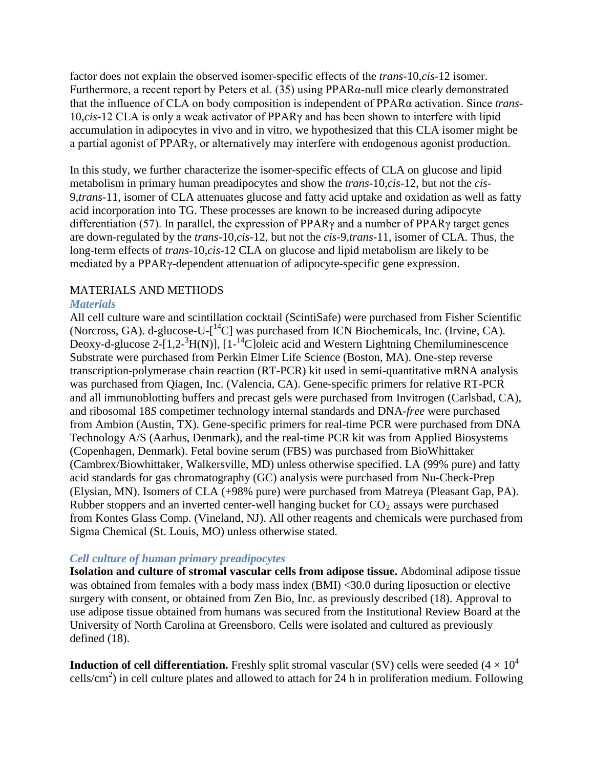factor does not explain the observed isomer-specific effects of the *trans*-10,*cis*-12 isomer. Furthermore, a recent report by Peters et al. (35) using PPARα-null mice clearly demonstrated that the influence of CLA on body composition is independent of PPARα activation. Since *trans*-10,*cis*-12 CLA is only a weak activator of PPARγ and has been shown to interfere with lipid accumulation in adipocytes in vivo and in vitro, we hypothesized that this CLA isomer might be a partial agonist of PPARγ, or alternatively may interfere with endogenous agonist production.

In this study, we further characterize the isomer-specific effects of CLA on glucose and lipid metabolism in primary human preadipocytes and show the *trans*-10,*cis*-12, but not the *cis*-9,*trans*-11, isomer of CLA attenuates glucose and fatty acid uptake and oxidation as well as fatty acid incorporation into TG. These processes are known to be increased during adipocyte differentiation (57). In parallel, the expression of PPARγ and a number of PPARγ target genes are down-regulated by the *trans*-10,*cis*-12, but not the *cis*-9,*trans*-11, isomer of CLA. Thus, the long-term effects of *trans*-10,*cis*-12 CLA on glucose and lipid metabolism are likely to be mediated by a PPARγ-dependent attenuation of adipocyte-specific gene expression.

## MATERIALS AND METHODS

### *Materials*

All cell culture ware and scintillation cocktail (ScintiSafe) were purchased from Fisher Scientific (Norcross, GA). d-glucose-U- $\left[ {}^{14}C \right]$  was purchased from ICN Biochemicals, Inc. (Irvine, CA). Deoxy-d-glucose  $2-[1,2^{-3}H(N)]$ ,  $[1^{-14}C]$ oleic acid and Western Lightning Chemiluminescence Substrate were purchased from Perkin Elmer Life Science (Boston, MA). One-step reverse transcription-polymerase chain reaction (RT-PCR) kit used in semi-quantitative mRNA analysis was purchased from Qiagen, Inc. (Valencia, CA). Gene-specific primers for relative RT-PCR and all immunoblotting buffers and precast gels were purchased from Invitrogen (Carlsbad, CA), and ribosomal 18*S* competimer technology internal standards and DNA-*free* were purchased from Ambion (Austin, TX). Gene-specific primers for real-time PCR were purchased from DNA Technology A/S (Aarhus, Denmark), and the real-time PCR kit was from Applied Biosystems (Copenhagen, Denmark). Fetal bovine serum (FBS) was purchased from BioWhittaker (Cambrex/Biowhittaker, Walkersville, MD) unless otherwise specified. LA (99% pure) and fatty acid standards for gas chromatography (GC) analysis were purchased from Nu-Check-Prep (Elysian, MN). Isomers of CLA (+98% pure) were purchased from Matreya (Pleasant Gap, PA). Rubber stoppers and an inverted center-well hanging bucket for  $CO<sub>2</sub>$  assays were purchased from Kontes Glass Comp. (Vineland, NJ). All other reagents and chemicals were purchased from Sigma Chemical (St. Louis, MO) unless otherwise stated.

### *Cell culture of human primary preadipocytes*

**Isolation and culture of stromal vascular cells from adipose tissue.** Abdominal adipose tissue was obtained from females with a body mass index (BMI) <30.0 during liposuction or elective surgery with consent, or obtained from Zen Bio, Inc. as previously described (18). Approval to use adipose tissue obtained from humans was secured from the Institutional Review Board at the University of North Carolina at Greensboro. Cells were isolated and cultured as previously defined (18).

**Induction of cell differentiation.** Freshly split stromal vascular (SV) cells were seeded  $(4 \times 10^4$ cells/cm<sup>2</sup>) in cell culture plates and allowed to attach for 24 h in proliferation medium. Following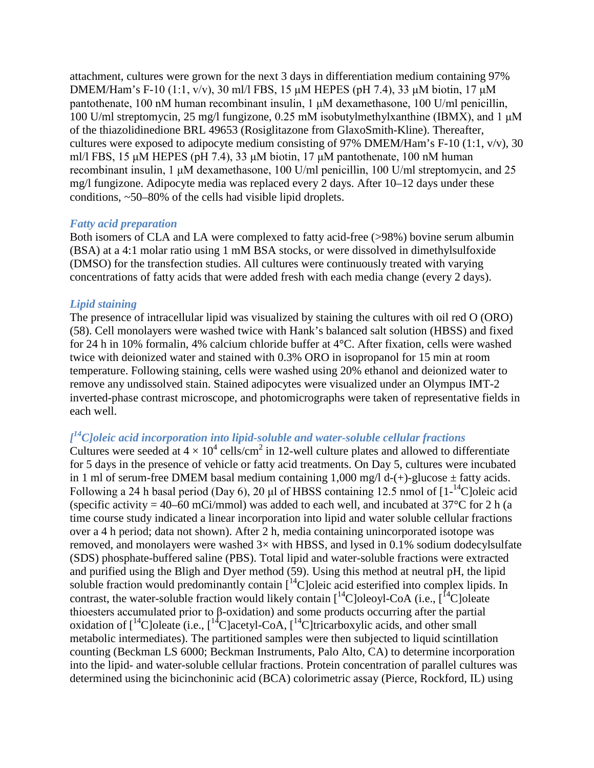attachment, cultures were grown for the next 3 days in differentiation medium containing 97% DMEM/Ham's F-10 (1:1, v/v), 30 ml/l FBS, 15 μM HEPES (pH 7.4), 33 μM biotin, 17 μM pantothenate, 100 nM human recombinant insulin, 1 μM dexamethasone, 100 U/ml penicillin, 100 U/ml streptomycin, 25 mg/l fungizone, 0.25 mM isobutylmethylxanthine (IBMX), and 1 μM of the thiazolidinedione BRL 49653 (Rosiglitazone from GlaxoSmith-Kline). Thereafter, cultures were exposed to adipocyte medium consisting of 97% DMEM/Ham's F-10 (1:1, v/v), 30 ml/l FBS, 15 μM HEPES (pH 7.4), 33 μM biotin, 17 μM pantothenate, 100 nM human recombinant insulin, 1 μM dexamethasone, 100 U/ml penicillin, 100 U/ml streptomycin, and 25 mg/l fungizone. Adipocyte media was replaced every 2 days. After 10–12 days under these conditions, ~50–80% of the cells had visible lipid droplets.

### *Fatty acid preparation*

Both isomers of CLA and LA were complexed to fatty acid-free (>98%) bovine serum albumin (BSA) at a 4:1 molar ratio using 1 mM BSA stocks, or were dissolved in dimethylsulfoxide (DMSO) for the transfection studies. All cultures were continuously treated with varying concentrations of fatty acids that were added fresh with each media change (every 2 days).

### *Lipid staining*

The presence of intracellular lipid was visualized by staining the cultures with oil red O (ORO) (58). Cell monolayers were washed twice with Hank's balanced salt solution (HBSS) and fixed for 24 h in 10% formalin, 4% calcium chloride buffer at 4°C. After fixation, cells were washed twice with deionized water and stained with 0.3% ORO in isopropanol for 15 min at room temperature. Following staining, cells were washed using 20% ethanol and deionized water to remove any undissolved stain. Stained adipocytes were visualized under an Olympus IMT-2 inverted-phase contrast microscope, and photomicrographs were taken of representative fields in each well.

# *[ 14C]oleic acid incorporation into lipid-soluble and water-soluble cellular fractions*

Cultures were seeded at  $4 \times 10^4$  cells/cm<sup>2</sup> in 12-well culture plates and allowed to differentiate for 5 days in the presence of vehicle or fatty acid treatments. On Day 5, cultures were incubated in 1 ml of serum-free DMEM basal medium containing 1,000 mg/l d-(+)-glucose  $\pm$  fatty acids. Following a 24 h basal period (Day 6), 20  $\mu$ l of HBSS containing 12.5 nmol of [1-<sup>14</sup>C]oleic acid (specific activity = 40–60 mCi/mmol) was added to each well, and incubated at  $37^{\circ}$ C for 2 h (a time course study indicated a linear incorporation into lipid and water soluble cellular fractions over a 4 h period; data not shown). After 2 h, media containing unincorporated isotope was removed, and monolayers were washed  $3\times$  with HBSS, and lysed in 0.1% sodium dodecylsulfate (SDS) phosphate-buffered saline (PBS). Total lipid and water-soluble fractions were extracted and purified using the Bligh and Dyer method  $(59)$ . Using this method at neutral pH, the lipid soluble fraction would predominantly contain  $\int_{0}^{14}$ C]oleic acid esterified into complex lipids. In contrast, the water-soluble fraction would likely contain  $\left[{}^{14}C\right]$ oleoyl-CoA (i.e.,  $\left[{}^{14}C\right]$ oleate thioesters accumulated prior to β-oxidation) and some products occurring after the partial oxidation of  $\int_1^{14}C$ ]oleate (i.e.,  $\int_1^{14}C$ ]acetyl-CoA,  $\int_1^{14}C$ ]tricarboxylic acids, and other small metabolic intermediates). The partitioned samples were then subjected to liquid scintillation counting (Beckman LS 6000; Beckman Instruments, Palo Alto, CA) to determine incorporation into the lipid- and water-soluble cellular fractions. Protein concentration of parallel cultures was determined using the bicinchoninic acid (BCA) colorimetric assay (Pierce, Rockford, IL) using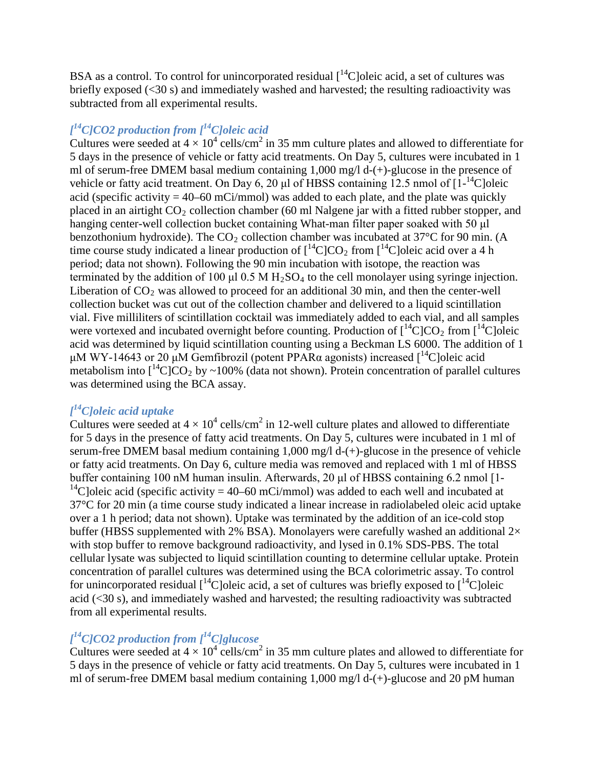BSA as a control. To control for unincorporated residual  $\int_{0}^{14}$ Cloleic acid, a set of cultures was briefly exposed (<30 s) and immediately washed and harvested; the resulting radioactivity was subtracted from all experimental results.

# *[ 14C]CO2 production from [14C]oleic acid*

Cultures were seeded at  $4 \times 10^4$  cells/cm<sup>2</sup> in 35 mm culture plates and allowed to differentiate for 5 days in the presence of vehicle or fatty acid treatments. On Day 5, cultures were incubated in 1 ml of serum-free DMEM basal medium containing 1,000 mg/l d-(+)-glucose in the presence of vehicle or fatty acid treatment. On Day 6, 20  $\mu$ l of HBSS containing 12.5 nmol of  $[1^{-14}C]$ oleic acid (specific activity  $= 40-60$  mCi/mmol) was added to each plate, and the plate was quickly placed in an airtight  $CO_2$  collection chamber (60 ml Nalgene jar with a fitted rubber stopper, and hanging center-well collection bucket containing What-man filter paper soaked with 50 μl benzothonium hydroxide). The  $CO<sub>2</sub>$  collection chamber was incubated at 37 $\degree$ C for 90 min. (A time course study indicated a linear production of  $[^{14}C]CO_2$  from  $[^{14}C]$ oleic acid over a 4 h period; data not shown). Following the 90 min incubation with isotope, the reaction was terminated by the addition of 100 μl 0.5 M  $H_2SO_4$  to the cell monolayer using syringe injection. Liberation of  $CO<sub>2</sub>$  was allowed to proceed for an additional 30 min, and then the center-well collection bucket was cut out of the collection chamber and delivered to a liquid scintillation vial. Five milliliters of scintillation cocktail was immediately added to each vial, and all samples were vortexed and incubated overnight before counting. Production of  $\int_1^{14}C|CO_2$  from  $\int_1^{14}C|O|$ acid was determined by liquid scintillation counting using a Beckman LS 6000. The addition of 1 μM WY-14643 or 20 μM Gemfibrozil (potent PPARα agonists) increased  $\int_1^{14}$ Cloleic acid metabolism into  $1^1C$  C $O_2$  by ~100% (data not shown). Protein concentration of parallel cultures was determined using the BCA assay.

# *[ 14C]oleic acid uptake*

Cultures were seeded at  $4 \times 10^4$  cells/cm<sup>2</sup> in 12-well culture plates and allowed to differentiate for 5 days in the presence of fatty acid treatments. On Day 5, cultures were incubated in 1 ml of serum-free DMEM basal medium containing 1,000 mg/l d-(+)-glucose in the presence of vehicle or fatty acid treatments. On Day 6, culture media was removed and replaced with 1 ml of HBSS buffer containing 100 nM human insulin. Afterwards, 20 μl of HBSS containing 6.2 nmol [1-<sup>14</sup>C]oleic acid (specific activity = 40–60 mCi/mmol) was added to each well and incubated at 37°C for 20 min (a time course study indicated a linear increase in radiolabeled oleic acid uptake over a 1 h period; data not shown). Uptake was terminated by the addition of an ice-cold stop buffer (HBSS supplemented with 2% BSA). Monolayers were carefully washed an additional  $2 \times$ with stop buffer to remove background radioactivity, and lysed in 0.1% SDS-PBS. The total cellular lysate was subjected to liquid scintillation counting to determine cellular uptake. Protein concentration of parallel cultures was determined using the BCA colorimetric assay. To control for unincorporated residual  $\int_{0}^{14}$ C]oleic acid, a set of cultures was briefly exposed to  $\int_{0}^{14}$ C]oleic acid (<30 s), and immediately washed and harvested; the resulting radioactivity was subtracted from all experimental results.

# *[ 14C]CO2 production from [14C]glucose*

Cultures were seeded at  $4 \times 10^4$  cells/cm<sup>2</sup> in 35 mm culture plates and allowed to differentiate for 5 days in the presence of vehicle or fatty acid treatments. On Day 5, cultures were incubated in 1 ml of serum-free DMEM basal medium containing 1,000 mg/l d-(+)-glucose and 20 pM human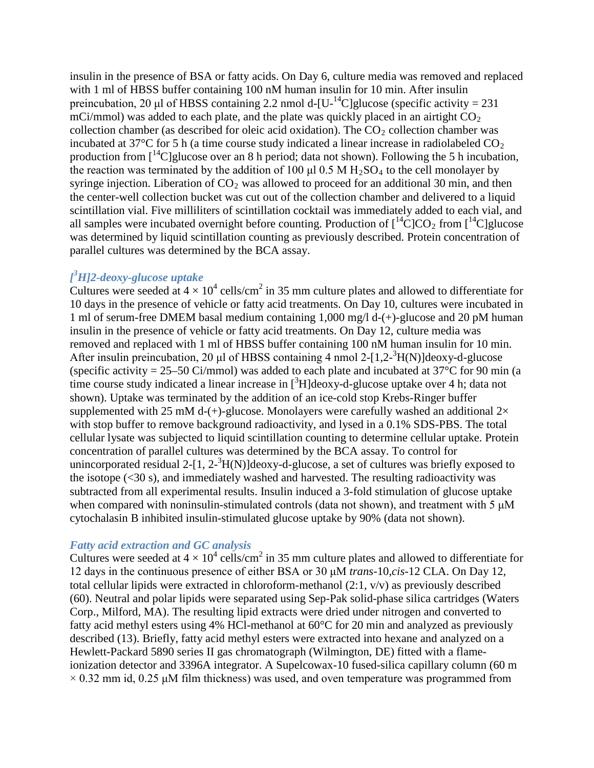insulin in the presence of BSA or fatty acids. On Day 6, culture media was removed and replaced with 1 ml of HBSS buffer containing 100 nM human insulin for 10 min. After insulin preincubation, 20 µl of HBSS containing 2.2 nmol d- $[U^{-14}C]$ glucose (specific activity = 231 mCi/mmol) was added to each plate, and the plate was quickly placed in an airtight  $CO<sub>2</sub>$ collection chamber (as described for oleic acid oxidation). The  $CO<sub>2</sub>$  collection chamber was incubated at 37 $\degree$ C for 5 h (a time course study indicated a linear increase in radiolabeled CO<sub>2</sub> production from  $\int_1^1 C$  glucose over an 8 h period; data not shown). Following the 5 h incubation, the reaction was terminated by the addition of 100  $\mu$ l 0.5 M H<sub>2</sub>SO<sub>4</sub> to the cell monolayer by syringe injection. Liberation of  $CO<sub>2</sub>$  was allowed to proceed for an additional 30 min, and then the center-well collection bucket was cut out of the collection chamber and delivered to a liquid scintillation vial. Five milliliters of scintillation cocktail was immediately added to each vial, and all samples were incubated overnight before counting. Production of  $\int_1^{14}C|CO_2$  from  $\int_1^{14}C|$ glucose was determined by liquid scintillation counting as previously described. Protein concentration of parallel cultures was determined by the BCA assay.

# *[ 3 H]2-deoxy-glucose uptake*

Cultures were seeded at  $4 \times 10^4$  cells/cm<sup>2</sup> in 35 mm culture plates and allowed to differentiate for 10 days in the presence of vehicle or fatty acid treatments. On Day 10, cultures were incubated in 1 ml of serum-free DMEM basal medium containing 1,000 mg/l d-(+)-glucose and 20 pM human insulin in the presence of vehicle or fatty acid treatments. On Day 12, culture media was removed and replaced with 1 ml of HBSS buffer containing 100 nM human insulin for 10 min. After insulin preincubation, 20 μl of HBSS containing 4 nmol 2-[1,2-<sup>3</sup>H(N)]deoxy-d-glucose (specific activity =  $25-50$  Ci/mmol) was added to each plate and incubated at  $37^{\circ}$ C for 90 min (a time course study indicated a linear increase in  $[{}^{3}H]$ deoxy-d-glucose uptake over 4 h; data not shown). Uptake was terminated by the addition of an ice-cold stop Krebs-Ringer buffer supplemented with 25 mM d-(+)-glucose. Monolayers were carefully washed an additional  $2\times$ with stop buffer to remove background radioactivity, and lysed in a 0.1% SDS-PBS. The total cellular lysate was subjected to liquid scintillation counting to determine cellular uptake. Protein concentration of parallel cultures was determined by the BCA assay. To control for unincorporated residual 2- $[1, 2^{-3}H(N)]$ deoxy-d-glucose, a set of cultures was briefly exposed to the isotope (<30 s), and immediately washed and harvested. The resulting radioactivity was subtracted from all experimental results. Insulin induced a 3-fold stimulation of glucose uptake when compared with noninsulin-stimulated controls (data not shown), and treatment with 5 μM cytochalasin B inhibited insulin-stimulated glucose uptake by 90% (data not shown).

### *Fatty acid extraction and GC analysis*

Cultures were seeded at  $4 \times 10^4$  cells/cm<sup>2</sup> in 35 mm culture plates and allowed to differentiate for 12 days in the continuous presence of either BSA or 30 μM *trans*-10,*cis*-12 CLA. On Day 12, total cellular lipids were extracted in chloroform-methanol  $(2:1, v/v)$  as previously described (60). Neutral and polar lipids were separated using Sep-Pak solid-phase silica cartridges (Waters Corp., Milford, MA). The resulting lipid extracts were dried under nitrogen and converted to fatty acid methyl esters using 4% HCl-methanol at 60°C for 20 min and analyzed as previously described (13). Briefly, fatty acid methyl esters were extracted into hexane and analyzed on a Hewlett-Packard 5890 series II gas chromatograph (Wilmington, DE) fitted with a flameionization detector and 3396A integrator. A Supelcowax-10 fused-silica capillary column (60 m  $\times$  0.32 mm id, 0.25  $\mu$ M film thickness) was used, and oven temperature was programmed from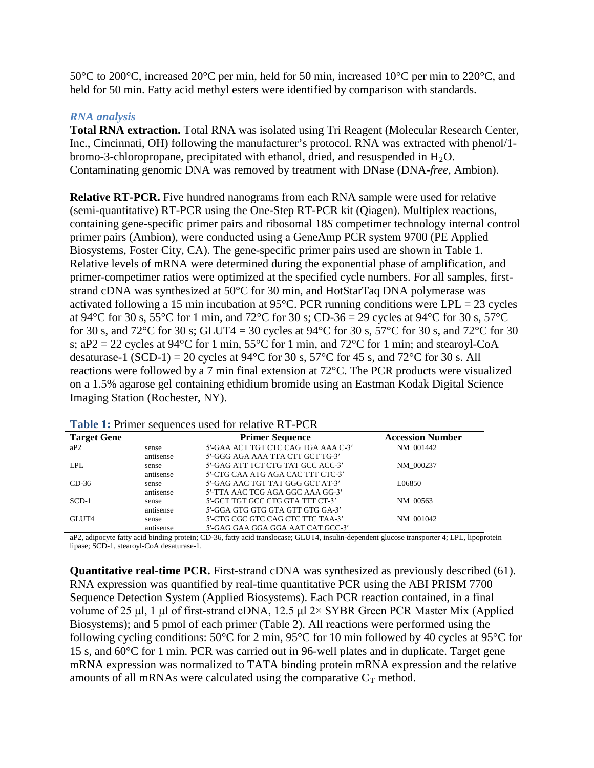50°C to 200°C, increased 20°C per min, held for 50 min, increased 10°C per min to 220°C, and held for 50 min. Fatty acid methyl esters were identified by comparison with standards.

### *RNA analysis*

**Total RNA extraction.** Total RNA was isolated using Tri Reagent (Molecular Research Center, Inc., Cincinnati, OH) following the manufacturer's protocol. RNA was extracted with phenol/1 bromo-3-chloropropane, precipitated with ethanol, dried, and resuspended in  $H_2O$ . Contaminating genomic DNA was removed by treatment with DNase (DNA-*free*, Ambion).

**Relative RT-PCR.** Five hundred nanograms from each RNA sample were used for relative (semi-quantitative) RT-PCR using the One-Step RT-PCR kit (Qiagen). Multiplex reactions, containing gene-specific primer pairs and ribosomal 18*S* competimer technology internal control primer pairs (Ambion), were conducted using a GeneAmp PCR system 9700 (PE Applied Biosystems, Foster City, CA). The gene-specific primer pairs used are shown in Table 1. Relative levels of mRNA were determined during the exponential phase of amplification, and primer-competimer ratios were optimized at the specified cycle numbers. For all samples, firststrand cDNA was synthesized at 50°C for 30 min, and HotStarTaq DNA polymerase was activated following a 15 min incubation at 95 $^{\circ}$ C. PCR running conditions were LPL = 23 cycles at 94°C for 30 s, 55°C for 1 min, and 72°C for 30 s; CD-36 = 29 cycles at 94°C for 30 s, 57°C for 30 s, and 72 $^{\circ}$ C for 30 s; GLUT4 = 30 cycles at 94 $^{\circ}$ C for 30 s, 57 $^{\circ}$ C for 30 s, and 72 $^{\circ}$ C for 30 s;  $aP2 = 22$  cycles at 94°C for 1 min, 55°C for 1 min, and 72°C for 1 min; and stearoyl-CoA desaturase-1 (SCD-1) = 20 cycles at 94 $\degree$ C for 30 s, 57 $\degree$ C for 45 s, and 72 $\degree$ C for 30 s. All reactions were followed by a 7 min final extension at 72°C. The PCR products were visualized on a 1.5% agarose gel containing ethidium bromide using an Eastman Kodak Digital Science Imaging Station (Rochester, NY).

| A WAXAY AT A LIIIIYI DVUUVIIVVD UDVU IVI IVIUU IV INI TO OIN |           |                                     |                         |  |  |  |  |
|--------------------------------------------------------------|-----------|-------------------------------------|-------------------------|--|--|--|--|
| <b>Target Gene</b>                                           |           | <b>Primer Sequence</b>              | <b>Accession Number</b> |  |  |  |  |
| aP2                                                          | sense     | 5'-GAA ACT TGT CTC CAG TGA AAA C-3' | NM 001442               |  |  |  |  |
|                                                              | antisense | 5'-GGG AGA AAA TTA CTT GCT TG-3'    |                         |  |  |  |  |
| LPL                                                          | sense     | 5'-GAG ATT TCT CTG TAT GCC ACC-3'   | NM 000237               |  |  |  |  |
|                                                              | antisense | 5'-CTG CAA ATG AGA CAC TTT CTC-3'   |                         |  |  |  |  |
| $CD-36$                                                      | sense     | 5'-GAG AAC TGT TAT GGG GCT AT-3'    | L06850                  |  |  |  |  |
|                                                              | antisense | 5'-TTA AAC TCG AGA GGC AAA GG-3'    |                         |  |  |  |  |
| $SCD-1$                                                      | sense     | 5'-GCT TGT GCC CTG GTA TTT CT-3'    | NM 00563                |  |  |  |  |
|                                                              | antisense | 5'-GGA GTG GTG GTA GTT GTG GA-3'    |                         |  |  |  |  |
| GLUT4                                                        | sense     | 5'-CTG CGC GTC CAG CTC TTC TAA-3'   | NM 001042               |  |  |  |  |
|                                                              | antisense | 5'-GAG GAA GGA GGA AAT CAT GCC-3'   |                         |  |  |  |  |

| Table 1: Primer sequences used for relative RT-PCR |
|----------------------------------------------------|
|----------------------------------------------------|

aP2, adipocyte fatty acid binding protein; CD-36, fatty acid translocase; GLUT4, insulin-dependent glucose transporter 4; LPL, lipoprotein lipase; SCD-1, stearoyl-CoA desaturase-1.

**Quantitative real-time PCR.** First-strand cDNA was synthesized as previously described (61). RNA expression was quantified by real-time quantitative PCR using the ABI PRISM 7700 Sequence Detection System (Applied Biosystems). Each PCR reaction contained, in a final volume of 25 μl, 1 μl of first-strand cDNA, 12.5 μl 2× SYBR Green PCR Master Mix (Applied Biosystems); and 5 pmol of each primer (Table 2). All reactions were performed using the following cycling conditions: 50°C for 2 min, 95°C for 10 min followed by 40 cycles at 95°C for 15 s, and 60°C for 1 min. PCR was carried out in 96-well plates and in duplicate. Target gene mRNA expression was normalized to TATA binding protein mRNA expression and the relative amounts of all mRNAs were calculated using the comparative  $C_T$  method.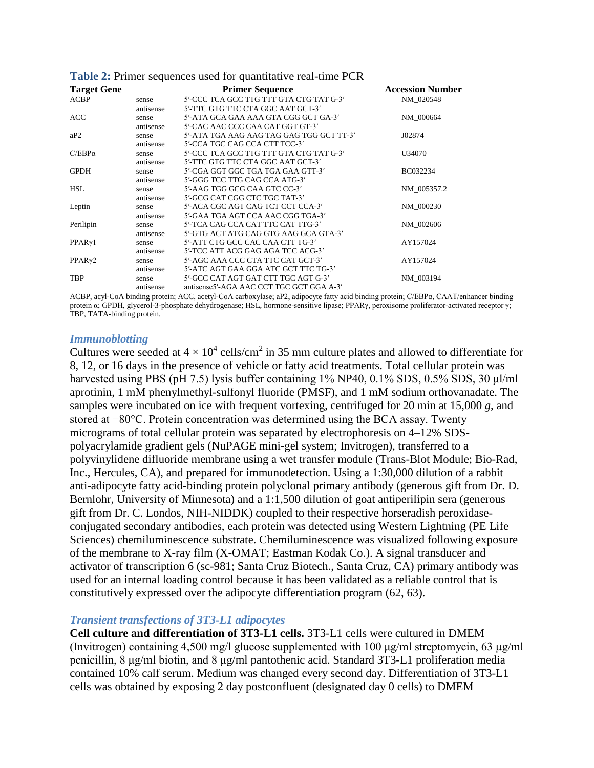| <b>Target Gene</b>  |           | <b>Primer Sequence</b>                   | <b>Accession Number</b> |
|---------------------|-----------|------------------------------------------|-------------------------|
| ACBP                | sense     | 5'-CCC TCA GCC TTG TTT GTA CTG TAT G-3'  | NM 020548               |
|                     | antisense | 5'-TTC GTG TTC CTA GGC AAT GCT-3'        |                         |
| ACC                 | sense     | 5'-ATA GCA GAA AAA GTA CGG GCT GA-3'     | NM 000664               |
|                     | antisense | 5'-CAC AAC CCC CAA CAT GGT GT-3'         |                         |
| aP2                 | sense     | 5'-ATA TGA AAG AAG TAG GAG TGG GCT TT-3' | J02874                  |
|                     | antisense | 5'-CCA TGC CAG CCA CTT TCC-3'            |                         |
| $C/EBP\alpha$       | sense     | 5'-CCC TCA GCC TTG TTT GTA CTG TAT G-3'  | U34070                  |
|                     | antisense | 5'-TTC GTG TTC CTA GGC AAT GCT-3'        |                         |
| <b>GPDH</b>         | sense     | 5'-CGA GGT GGC TGA TGA GAA GTT-3'        | BC032234                |
|                     | antisense | 5'-GGG TCC TTG CAG CCA ATG-3'            |                         |
| <b>HSL</b>          | sense     | 5'-AAG TGG GCG CAA GTC CC-3'             | NM 005357.2             |
|                     | antisense | 5'-GCG CAT CGG CTC TGC TAT-3'            |                         |
| Leptin              | sense     | 5'-ACA CGC AGT CAG TCT CCT CCA-3'        | NM 000230               |
|                     | antisense | 5'-GAA TGA AGT CCA AAC CGG TGA-3'        |                         |
| Perilipin           | sense     | 5'-TCA CAG CCA CAT TTC CAT TTG-3'        | NM 002606               |
|                     | antisense | 5'-GTG ACT ATG CAG GTG AAG GCA GTA-3'    |                         |
| PPAR <sub>Y</sub> 1 | sense     | 5'-ATT CTG GCC CAC CAA CTT TG-3'         | AY157024                |
|                     | antisense | 5'-TCC ATT ACG GAG AGA TCC ACG-3'        |                         |
| PPARy2              | sense     | 5'-AGC AAA CCC CTA TTC CAT GCT-3'        | AY157024                |
|                     | antisense | 5'-ATC AGT GAA GGA ATC GCT TTC TG-3'     |                         |
| TBP                 | sense     | 5'-GCC CAT AGT GAT CTT TGC AGT G-3'      | NM 003194               |
|                     | antisense | antisense5'-AGA AAC CCT TGC GCT GGA A-3' |                         |

**Table 2:** Primer sequences used for quantitative real-time PCR

ACBP, acyl-CoA binding protein; ACC, acetyl-CoA carboxylase; aP2, adipocyte fatty acid binding protein; C/EBPα, CAAT/enhancer binding protein α; GPDH, glycerol-3-phosphate dehydrogenase; HSL, hormone-sensitive lipase; PPARγ, peroxisome proliferator-activated receptor γ; TBP, TATA-binding protein.

#### *Immunoblotting*

Cultures were seeded at  $4 \times 10^4$  cells/cm<sup>2</sup> in 35 mm culture plates and allowed to differentiate for 8, 12, or 16 days in the presence of vehicle or fatty acid treatments. Total cellular protein was harvested using PBS (pH 7.5) lysis buffer containing 1% NP40, 0.1% SDS, 0.5% SDS, 30 μl/ml aprotinin, 1 mM phenylmethyl-sulfonyl fluoride (PMSF), and 1 mM sodium orthovanadate. The samples were incubated on ice with frequent vortexing, centrifuged for 20 min at 15,000 *g*, and stored at −80°C. Protein concentration was determined using the BCA assay. Twenty micrograms of total cellular protein was separated by electrophoresis on 4–12% SDSpolyacrylamide gradient gels (NuPAGE mini-gel system; Invitrogen), transferred to a polyvinylidene difluoride membrane using a wet transfer module (Trans-Blot Module; Bio-Rad, Inc., Hercules, CA), and prepared for immunodetection. Using a 1:30,000 dilution of a rabbit anti-adipocyte fatty acid-binding protein polyclonal primary antibody (generous gift from Dr. D. Bernlohr, University of Minnesota) and a 1:1,500 dilution of goat antiperilipin sera (generous gift from Dr. C. Londos, NIH-NIDDK) coupled to their respective horseradish peroxidaseconjugated secondary antibodies, each protein was detected using Western Lightning (PE Life Sciences) chemiluminescence substrate. Chemiluminescence was visualized following exposure of the membrane to X-ray film (X-OMAT; Eastman Kodak Co.). A signal transducer and activator of transcription 6 (sc-981; Santa Cruz Biotech., Santa Cruz, CA) primary antibody was used for an internal loading control because it has been validated as a reliable control that is constitutively expressed over the adipocyte differentiation program (62, 63).

### *Transient transfections of 3T3-L1 adipocytes*

**Cell culture and differentiation of 3T3-L1 cells.** 3T3-L1 cells were cultured in DMEM (Invitrogen) containing 4,500 mg/l glucose supplemented with 100 μg/ml streptomycin, 63 μg/ml penicillin, 8 μg/ml biotin, and 8 μg/ml pantothenic acid. Standard 3T3-L1 proliferation media contained 10% calf serum. Medium was changed every second day. Differentiation of 3T3-L1 cells was obtained by exposing 2 day postconfluent (designated day 0 cells) to DMEM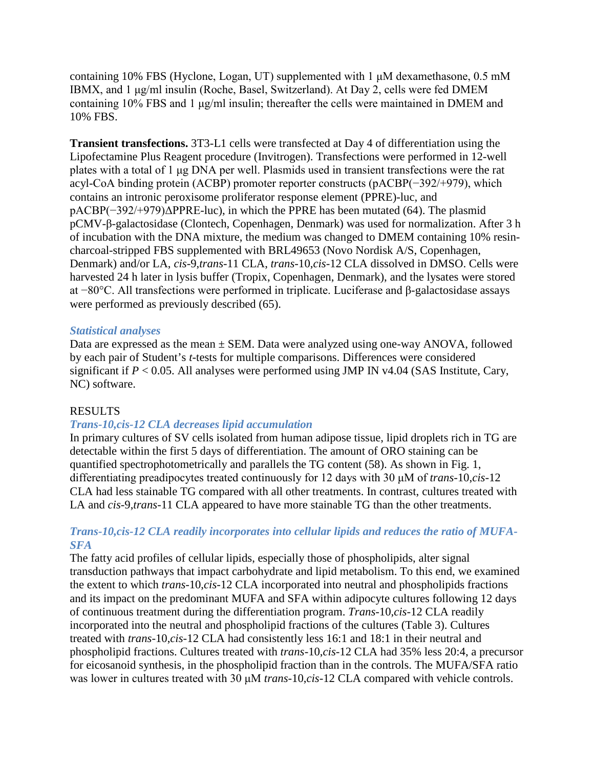containing 10% FBS (Hyclone, Logan, UT) supplemented with 1 μM dexamethasone, 0.5 mM IBMX, and 1 μg/ml insulin (Roche, Basel, Switzerland). At Day 2, cells were fed DMEM containing 10% FBS and 1 μg/ml insulin; thereafter the cells were maintained in DMEM and 10% FBS.

**Transient transfections.** 3T3-L1 cells were transfected at Day 4 of differentiation using the Lipofectamine Plus Reagent procedure (Invitrogen). Transfections were performed in 12-well plates with a total of 1 μg DNA per well. Plasmids used in transient transfections were the rat acyl-CoA binding protein (ACBP) promoter reporter constructs (pACBP(−392/+979), which contains an intronic peroxisome proliferator response element (PPRE)-luc, and pACBP(−392/+979)ΔPPRE-luc), in which the PPRE has been mutated (64). The plasmid pCMV-β-galactosidase (Clontech, Copenhagen, Denmark) was used for normalization. After 3 h of incubation with the DNA mixture, the medium was changed to DMEM containing 10% resincharcoal-stripped FBS supplemented with BRL49653 (Novo Nordisk A/S, Copenhagen, Denmark) and/or LA, *cis*-9,*trans*-11 CLA, *trans*-10,*cis*-12 CLA dissolved in DMSO. Cells were harvested 24 h later in lysis buffer (Tropix, Copenhagen, Denmark), and the lysates were stored at −80°C. All transfections were performed in triplicate. Luciferase and β-galactosidase assays were performed as previously described (65).

### *Statistical analyses*

Data are expressed as the mean ± SEM. Data were analyzed using one-way ANOVA, followed by each pair of Student's *t*-tests for multiple comparisons. Differences were considered significant if  $P < 0.05$ . All analyses were performed using JMP IN v4.04 (SAS Institute, Cary, NC) software.

## RESULTS

## *Trans-10,cis-12 CLA decreases lipid accumulation*

In primary cultures of SV cells isolated from human adipose tissue, lipid droplets rich in TG are detectable within the first 5 days of differentiation. The amount of ORO staining can be quantified spectrophotometrically and parallels the TG content (58). As shown in Fig. 1, differentiating preadipocytes treated continuously for 12 days with 30 μM of *trans*-10,*cis*-12 CLA had less stainable TG compared with all other treatments. In contrast, cultures treated with LA and *cis*-9,*trans*-11 CLA appeared to have more stainable TG than the other treatments.

## *Trans-10,cis-12 CLA readily incorporates into cellular lipids and reduces the ratio of MUFA-SFA*

The fatty acid profiles of cellular lipids, especially those of phospholipids, alter signal transduction pathways that impact carbohydrate and lipid metabolism. To this end, we examined the extent to which *trans*-10,*cis*-12 CLA incorporated into neutral and phospholipids fractions and its impact on the predominant MUFA and SFA within adipocyte cultures following 12 days of continuous treatment during the differentiation program. *Trans*-10,*cis*-12 CLA readily incorporated into the neutral and phospholipid fractions of the cultures (Table 3). Cultures treated with *trans*-10,*cis*-12 CLA had consistently less 16:1 and 18:1 in their neutral and phospholipid fractions. Cultures treated with *trans*-10,*cis*-12 CLA had 35% less 20:4, a precursor for eicosanoid synthesis, in the phospholipid fraction than in the controls. The MUFA/SFA ratio was lower in cultures treated with 30 μM *trans*-10,*cis*-12 CLA compared with vehicle controls.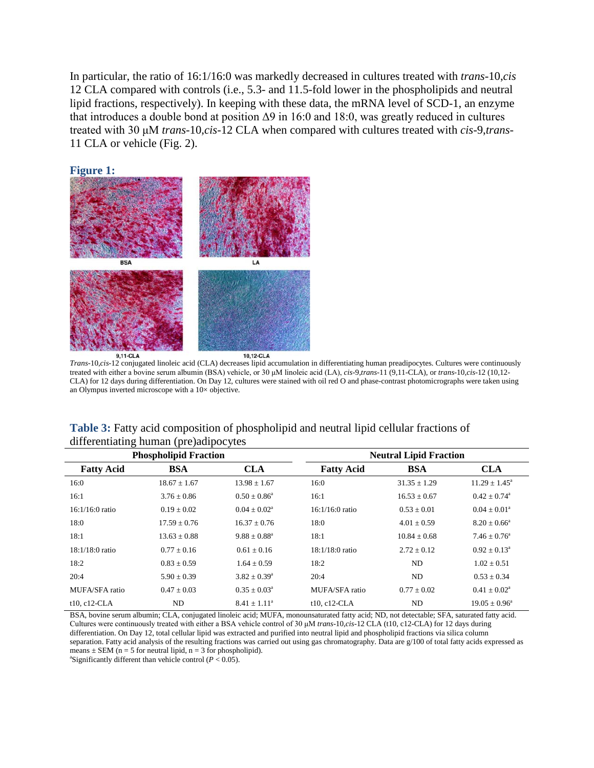In particular, the ratio of 16:1/16:0 was markedly decreased in cultures treated with *trans*-10,*cis* 12 CLA compared with controls (i.e., 5.3- and 11.5-fold lower in the phospholipids and neutral lipid fractions, respectively). In keeping with these data, the mRNA level of SCD-1, an enzyme that introduces a double bond at position  $\Delta$ 9 in 16:0 and 18:0, was greatly reduced in cultures treated with 30 μM *trans*-10,*cis*-12 CLA when compared with cultures treated with *cis*-9,*trans*-11 CLA or vehicle (Fig. 2).



*Trans*-10,*cis*-12 conjugated linoleic acid (CLA) decreases lipid accumulation in differentiating human preadipocytes. Cultures were continuously treated with either a bovine serum albumin (BSA) vehicle, or 30 μM linoleic acid (LA), *cis*-9,*trans*-11 (9,11-CLA), or *trans*-10,*cis*-12 (10,12- CLA) for 12 days during differentiation. On Day 12, cultures were stained with oil red O and phase-contrast photomicrographs were taken using an Olympus inverted microscope with a 10× objective.

| o                  | Æ<br>- 1 - - - -<br><b>Phospholipid Fraction</b> | . <i>. .</i>            | <b>Neutral Lipid Fraction</b> |                  |                            |
|--------------------|--------------------------------------------------|-------------------------|-------------------------------|------------------|----------------------------|
| <b>Fatty Acid</b>  | <b>BSA</b>                                       | <b>CLA</b>              | <b>Fatty Acid</b>             | <b>BSA</b>       | <b>CLA</b>                 |
| 16:0               | $18.67 \pm 1.67$                                 | $13.98 \pm 1.67$        | 16:0                          | $31.35 \pm 1.29$ | $11.29 \pm 1.45^{\circ}$   |
| 16:1               | $3.76 \pm 0.86$                                  | $0.50 \pm 0.86^a$       | 16:1                          | $16.53 \pm 0.67$ | $0.42 + 0.74$ <sup>a</sup> |
| $16:1/16:0$ ratio  | $0.19 \pm 0.02$                                  | $0.04 \pm 0.02^a$       | $16:1/16:0$ ratio             | $0.53 \pm 0.01$  | $0.04 \pm 0.01^a$          |
| 18:0               | $17.59 + 0.76$                                   | $16.37 + 0.76$          | 18:0                          | $4.01 \pm 0.59$  | $8.20 + 0.66^a$            |
| 18:1               | $13.63 \pm 0.88$                                 | $9.88 \pm 0.88^a$       | 18:1                          | $10.84 + 0.68$   | $7.46 \pm 0.76^{\circ}$    |
| $18:1/18:0$ ratio  | $0.77 + 0.16$                                    | $0.61 + 0.16$           | $18:1/18:0$ ratio             | $2.72 + 0.12$    | $0.92 + 0.13^a$            |
| 18:2               | $0.83 \pm 0.59$                                  | $1.64 \pm 0.59$         | 18:2                          | ND               | $1.02 \pm 0.51$            |
| 20:4               | $5.90 \pm 0.39$                                  | $3.82 \pm 0.39^{\circ}$ | 20:4                          | ND               | $0.53 \pm 0.34$            |
| MUFA/SFA ratio     | $0.47 + 0.03$                                    | $0.35 + 0.03^a$         | MUFA/SFA ratio                | $0.77 + 0.02$    | $0.41 \pm 0.02^{\text{a}}$ |
| $t10$ , $c12$ -CLA | ND                                               | $8.41 \pm 1.11^a$       | t10, c12-CLA                  | ND               | $19.05 \pm 0.96^{\circ}$   |

**Table 3:** Fatty acid composition of phospholipid and neutral lipid cellular fractions of differentiating human (pre)adipocytes

BSA, bovine serum albumin; CLA, conjugated linoleic acid; MUFA, monounsaturated fatty acid; ND, not detectable; SFA, saturated fatty acid. Cultures were continuously treated with either a BSA vehicle control of 30 μM *trans*-10,*cis*-12 CLA (t10, c12-CLA) for 12 days during differentiation. On Day 12, total cellular lipid was extracted and purified into neutral lipid and phospholipid fractions via silica column separation. Fatty acid analysis of the resulting fractions was carried out using gas chromatography. Data are g/100 of total fatty acids expressed as means  $\pm$  SEM (n = 5 for neutral lipid, n = 3 for phospholipid).

<sup>a</sup>Significantly different than vehicle control ( $P < 0.05$ ).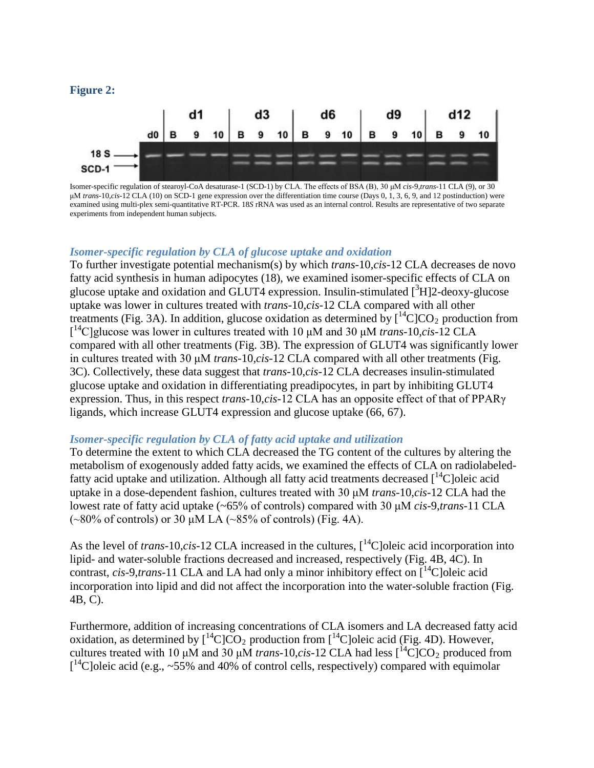#### **Figure 2:**



Isomer-specific regulation of stearoyl-CoA desaturase-1 (SCD-1) by CLA. The effects of BSA (B), 30 μM *cis*-9,*trans*-11 CLA (9), or 30 μM *trans*-10,*cis*-12 CLA (10) on SCD-1 gene expression over the differentiation time course (Days 0, 1, 3, 6, 9, and 12 postinduction) were examined using multi-plex semi-quantitative RT-PCR. 18*S* rRNA was used as an internal control. Results are representative of two separate experiments from independent human subjects.

### *Isomer-specific regulation by CLA of glucose uptake and oxidation*

To further investigate potential mechanism(s) by which *trans*-10,*cis*-12 CLA decreases de novo fatty acid synthesis in human adipocytes (18), we examined isomer-specific effects of CLA on glucose uptake and oxidation and GLUT4 expression. Insulin-stimulated [3H]2-deoxy-glucose uptake was lower in cultures treated with *trans*-10,*cis*-12 CLA compared with all other treatments (Fig. 3A). In addition, glucose oxidation as determined by  $\int_{0}^{14}C|CO_{2}$  production from [ <sup>14</sup>C]glucose was lower in cultures treated with 10 μM and 30 μM *trans*-10,*cis*-12 CLA compared with all other treatments (Fig. 3B). The expression of GLUT4 was significantly lower in cultures treated with 30 μM *trans*-10,*cis*-12 CLA compared with all other treatments (Fig. 3C). Collectively, these data suggest that *trans*-10,*cis*-12 CLA decreases insulin-stimulated glucose uptake and oxidation in differentiating preadipocytes, in part by inhibiting GLUT4 expression. Thus, in this respect *trans*-10,*cis*-12 CLA has an opposite effect of that of PPARγ ligands, which increase GLUT4 expression and glucose uptake (66, 67).

#### *Isomer-specific regulation by CLA of fatty acid uptake and utilization*

To determine the extent to which CLA decreased the TG content of the cultures by altering the metabolism of exogenously added fatty acids, we examined the effects of CLA on radiolabeledfatty acid uptake and utilization. Although all fatty acid treatments decreased  $\int_1^{14}$ C oleic acid uptake in a dose-dependent fashion, cultures treated with 30 μM *trans*-10,*cis*-12 CLA had the lowest rate of fatty acid uptake (~65% of controls) compared with 30 μM *cis*-9,*trans*-11 CLA  $(\sim 80\%$  of controls) or 30 μM LA  $(\sim 85\%$  of controls) (Fig. 4A).

As the level of *trans*-10,*cis*-12 CLA increased in the cultures,  $\int_0^{14}$ C oleic acid incorporation into lipid- and water-soluble fractions decreased and increased, respectively (Fig. 4B, 4C). In contrast,  $cis$ -9, $trans$ -11 CLA and LA had only a minor inhibitory effect on  $[$ <sup>14</sup>C]oleic acid incorporation into lipid and did not affect the incorporation into the water-soluble fraction (Fig. 4B, C).

Furthermore, addition of increasing concentrations of CLA isomers and LA decreased fatty acid oxidation, as determined by  $\left[\begin{array}{c} {^{14}C} \end{array}\right] CO_2$  production from  $\left[\begin{array}{c} {^{14}C} \end{array}\right]$  oleic acid (Fig. 4D). However, cultures treated with 10 μM and 30 μM *trans*-10,*cis*-12 CLA had less  $\int_{0}^{14}C|CO_{2}$  produced from  $\left[ {}^{14}$ C]oleic acid (e.g., ~55% and 40% of control cells, respectively) compared with equimolar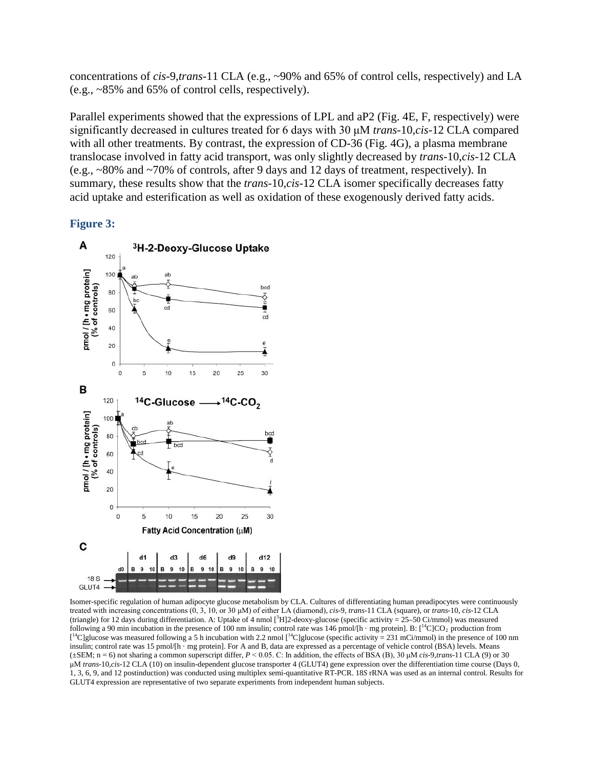concentrations of *cis*-9,*trans*-11 CLA (e.g., ~90% and 65% of control cells, respectively) and LA (e.g., ~85% and 65% of control cells, respectively).

Parallel experiments showed that the expressions of LPL and aP2 (Fig. 4E, F, respectively) were significantly decreased in cultures treated for 6 days with 30 μM *trans*-10,*cis*-12 CLA compared with all other treatments. By contrast, the expression of CD-36 (Fig. 4G), a plasma membrane translocase involved in fatty acid transport, was only slightly decreased by *trans*-10,*cis*-12 CLA (e.g., ~80% and ~70% of controls, after 9 days and 12 days of treatment, respectively). In summary, these results show that the *trans*-10,*cis*-12 CLA isomer specifically decreases fatty acid uptake and esterification as well as oxidation of these exogenously derived fatty acids.

### **Figure 3:**



Isomer-specific regulation of human adipocyte glucose metabolism by CLA. Cultures of differentiating human preadipocytes were continuously treated with increasing concentrations (0, 3, 10, or 30 μM) of either LA (diamond), *cis*-9, *trans*-11 CLA (square), or *trans*-10, *cis*-12 CLA (triangle) for 12 days during differentiation. A: Uptake of 4 nmol [<sup>3</sup> H]2-deoxy-glucose (specific activity = 25–50 Ci/mmol) was measured following a 90 min incubation in the presence of 100 nm insulin; control rate was 146 pmol/[h · mg protein]. B:  $[^{14}C]CO_2$  production from  $\lbrack l^4C \rbrack$  algebra was measured following a 5 h incubation with 2.2 nmol  $\lbrack l^4C \rbrack$ glucose (specific activity = 231 mCi/mmol) in the presence of 100 nm insulin; control rate was 15 pmol/[h · mg protein]. For A and B, data are expressed as a percentage of vehicle control (BSA) levels. Means (±SEM; n = 6) not sharing a common superscript differ, *P* < 0.05. C: In addition, the effects of BSA (B), 30 μM *cis*-9,*trans*-11 CLA (9) or 30 μM *trans*-10,*cis*-12 CLA (10) on insulin-dependent glucose transporter 4 (GLUT4) gene expression over the differentiation time course (Days 0, 1, 3, 6, 9, and 12 postinduction) was conducted using multiplex semi-quantitative RT-PCR. 18*S* rRNA was used as an internal control. Results for GLUT4 expression are representative of two separate experiments from independent human subjects.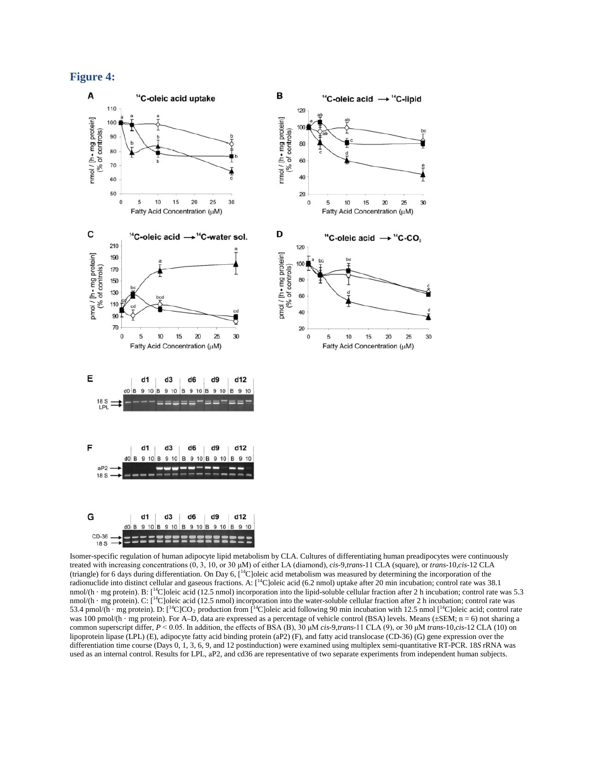#### **Figure 4:**



Isomer-specific regulation of human adipocyte lipid metabolism by CLA. Cultures of differentiating human preadipocytes were continuously treated with increasing concentrations (0, 3, 10, or 30 μM) of either LA (diamond), *cis*-9,*trans*-11 CLA (square), or *trans*-10,*cis*-12 CLA (triangle) for 6 days during differentiation. On Day 6, [14C]oleic acid metabolism was measured by determining the incorporation of the radionuclide into distinct cellular and gaseous fractions. A: [14C]oleic acid (6.2 nmol) uptake after 20 min incubation; control rate was 38.1 nmol/(h · mg protein). B: [<sup>14</sup>C]oleic acid (12.5 nmol) incorporation into the lipid-soluble cellular fraction after 2 h incubation; control rate was 5.3 nmol/(h · mg protein). C:  $\lbrack \lbrack ^{14}C \rbrack$ oleic acid (12.5 nmol) incorporation into the water-soluble cellular fraction after 2 h incubation; control rate was 53.4 pmol/(h · mg protein). D:  $[{}^{14}C]CO_2$  production from  $[{}^{14}C]$ oleic acid following 90 min incubation with 12.5 nmol  $[{}^{14}C]$ oleic acid; control rate was 100 pmol/(h · mg protein). For A–D, data are expressed as a percentage of vehicle control (BSA) levels. Means ( $\pm$ SEM; n = 6) not sharing a common superscript differ, *P* < 0.05. In addition, the effects of BSA (B), 30 μM *cis*-9,*trans*-11 CLA (9), or 30 μM *trans*-10,*cis*-12 CLA (10) on lipoprotein lipase (LPL) (E), adipocyte fatty acid binding protein (aP2) (F), and fatty acid translocase (CD-36) (G) gene expression over the differentiation time course (Days 0, 1, 3, 6, 9, and 12 postinduction) were examined using multiplex semi-quantitative RT-PCR. 18*S* rRNA was used as an internal control. Results for LPL, aP2, and cd36 are representative of two separate experiments from independent human subjects.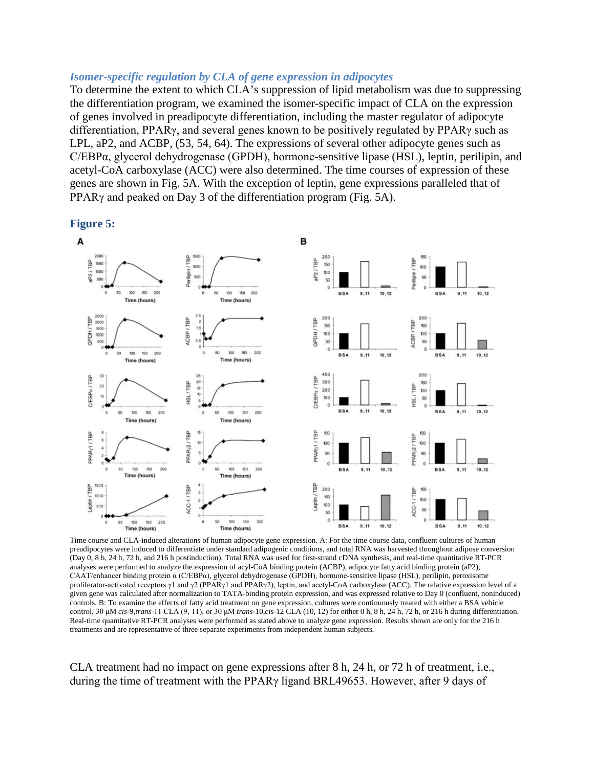#### *Isomer-specific regulation by CLA of gene expression in adipocytes*

To determine the extent to which CLA's suppression of lipid metabolism was due to suppressing the differentiation program, we examined the isomer-specific impact of CLA on the expression of genes involved in preadipocyte differentiation, including the master regulator of adipocyte differentiation, PPARγ, and several genes known to be positively regulated by PPARγ such as LPL, aP2, and ACBP, (53, 54, 64). The expressions of several other adipocyte genes such as C/EBPα, glycerol dehydrogenase (GPDH), hormone-sensitive lipase (HSL), leptin, perilipin, and acetyl-CoA carboxylase (ACC) were also determined. The time courses of expression of these genes are shown in Fig. 5A. With the exception of leptin, gene expressions paralleled that of PPARγ and peaked on Day 3 of the differentiation program (Fig. 5A).



**Figure 5:**

Time course and CLA-induced alterations of human adipocyte gene expression. A: For the time course data, confluent cultures of human preadipocytes were induced to differentiate under standard adipogenic conditions, and total RNA was harvested throughout adipose conversion (Day 0, 8 h, 24 h, 72 h, and 216 h postinduction). Total RNA was used for first-strand cDNA synthesis, and real-time quantitative RT-PCR analyses were performed to analyze the expression of acyl-CoA binding protein (ACBP), adipocyte fatty acid binding protein (aP2), CAAT/enhancer binding protein α (C/EBPα), glycerol dehydrogenase (GPDH), hormone-sensitive lipase (HSL), perilipin, peroxisome proliferator-activated receptors γ1 and γ2 (PPARγ1 and PPARγ2), leptin, and acetyl-CoA carboxylase (ACC). The relative expression level of a given gene was calculated after normalization to TATA-binding protein expression, and was expressed relative to Day 0 (confluent, noninduced) controls. B: To examine the effects of fatty acid treatment on gene expression, cultures were continuously treated with either a BSA vehicle control, 30 μM *cis*-9,*trans*-11 CLA (9, 11), or 30 μM *trans*-10,*cis*-12 CLA (10, 12) for either 0 h, 8 h, 24 h, 72 h, or 216 h during differentiation. Real-time quantitative RT-PCR analyses were performed as stated above to analyze gene expression. Results shown are only for the 216 h treatments and are representative of three separate experiments from independent human subjects.

CLA treatment had no impact on gene expressions after 8 h, 24 h, or 72 h of treatment, i.e., during the time of treatment with the PPARγ ligand BRL49653. However, after 9 days of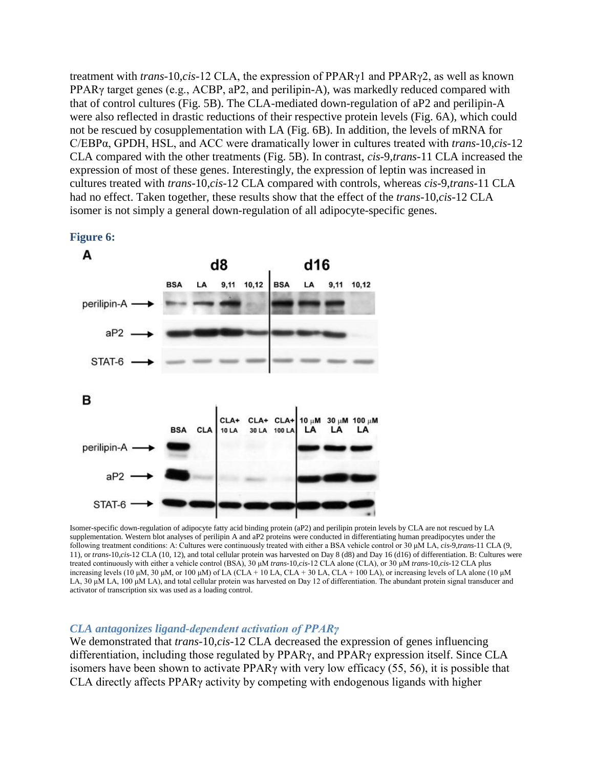treatment with *trans*-10,*cis*-12 CLA, the expression of PPARγ1 and PPARγ2, as well as known PPARγ target genes (e.g., ACBP, aP2, and perilipin-A), was markedly reduced compared with that of control cultures (Fig. 5B). The CLA-mediated down-regulation of aP2 and perilipin-A were also reflected in drastic reductions of their respective protein levels (Fig. 6A), which could not be rescued by cosupplementation with LA (Fig. 6B). In addition, the levels of mRNA for C/EBPα, GPDH, HSL, and ACC were dramatically lower in cultures treated with *trans*-10,*cis*-12 CLA compared with the other treatments (Fig. 5B). In contrast, *cis*-9,*trans*-11 CLA increased the expression of most of these genes. Interestingly, the expression of leptin was increased in cultures treated with *trans*-10,*cis*-12 CLA compared with controls, whereas *cis*-9,*trans*-11 CLA had no effect. Taken together, these results show that the effect of the *trans*-10,*cis*-12 CLA isomer is not simply a general down-regulation of all adipocyte-specific genes.



**Figure 6:**

Isomer-specific down-regulation of adipocyte fatty acid binding protein (aP2) and perilipin protein levels by CLA are not rescued by LA supplementation. Western blot analyses of perilipin A and aP2 proteins were conducted in differentiating human preadipocytes under the following treatment conditions: A: Cultures were continuously treated with either a BSA vehicle control or 30 μM LA, *cis*-9,*trans*-11 CLA (9, 11), or *trans*-10,*cis*-12 CLA (10, 12), and total cellular protein was harvested on Day 8 (d8) and Day 16 (d16) of differentiation. B: Cultures were treated continuously with either a vehicle control (BSA), 30 μM *trans*-10,*cis*-12 CLA alone (CLA), or 30 μM *trans*-10,*cis*-12 CLA plus increasing levels (10 μM, 30 μM, or 100 μM) of LA (CLA + 10 LA, CLA + 30 LA, CLA + 100 LA), or increasing levels of LA alone (10 μM LA, 30 μM LA, 100 μM LA), and total cellular protein was harvested on Day 12 of differentiation. The abundant protein signal transducer and activator of transcription six was used as a loading control.

#### *CLA antagonizes ligand-dependent activation of PPARγ*

We demonstrated that *trans*-10,*cis*-12 CLA decreased the expression of genes influencing differentiation, including those regulated by PPARγ, and PPARγ expression itself. Since CLA isomers have been shown to activate PPARγ with very low efficacy (55, 56), it is possible that CLA directly affects PPARγ activity by competing with endogenous ligands with higher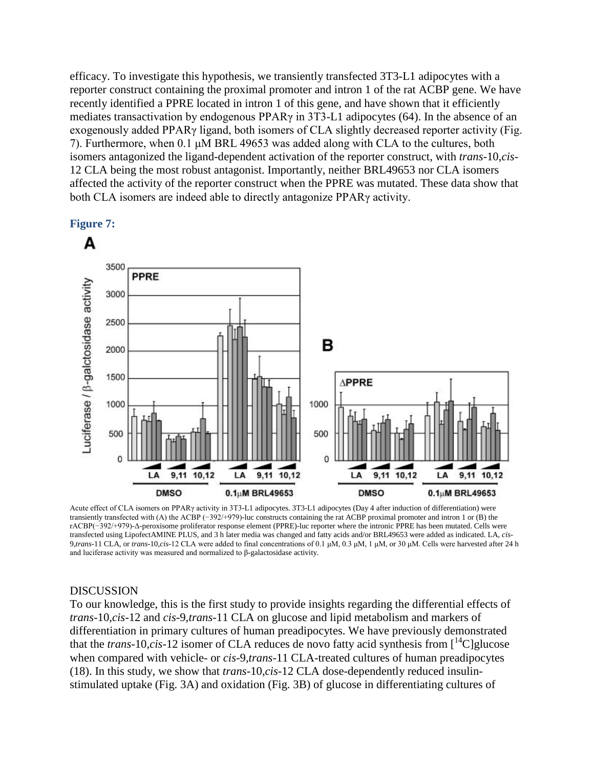efficacy. To investigate this hypothesis, we transiently transfected 3T3-L1 adipocytes with a reporter construct containing the proximal promoter and intron 1 of the rat ACBP gene. We have recently identified a PPRE located in intron 1 of this gene, and have shown that it efficiently mediates transactivation by endogenous PPARγ in 3T3-L1 adipocytes (64). In the absence of an exogenously added PPARγ ligand, both isomers of CLA slightly decreased reporter activity (Fig. 7). Furthermore, when 0.1 μM BRL 49653 was added along with CLA to the cultures, both isomers antagonized the ligand-dependent activation of the reporter construct, with *trans*-10,*cis*-12 CLA being the most robust antagonist. Importantly, neither BRL49653 nor CLA isomers affected the activity of the reporter construct when the PPRE was mutated. These data show that both CLA isomers are indeed able to directly antagonize PPARγ activity.





Acute effect of CLA isomers on PPARγ activity in 3T3-L1 adipocytes. 3T3-L1 adipocytes (Day 4 after induction of differentiation) were transiently transfected with (A) the ACBP (−392/+979)-luc constructs containing the rat ACBP proximal promoter and intron 1 or (B) the rACBP(−392/+979)-Δ-peroxisome proliferator response element (PPRE)-luc reporter where the intronic PPRE has been mutated. Cells were transfected using LipofectAMINE PLUS, and 3 h later media was changed and fatty acids and/or BRL49653 were added as indicated. LA, *cis*-9,*trans*-11 CLA, or *trans*-10,*cis*-12 CLA were added to final concentrations of 0.1 μM, 0.3 μM, 1 μM, or 30 μM. Cells were harvested after 24 h and luciferase activity was measured and normalized to β-galactosidase activity.

#### DISCUSSION

To our knowledge, this is the first study to provide insights regarding the differential effects of *trans*-10,*cis*-12 and *cis*-9,*trans*-11 CLA on glucose and lipid metabolism and markers of differentiation in primary cultures of human preadipocytes. We have previously demonstrated that the *trans*-10,*cis*-12 isomer of CLA reduces de novo fatty acid synthesis from  $\int_1^{14}$ C]glucose when compared with vehicle- or *cis*-9,*trans*-11 CLA-treated cultures of human preadipocytes (18). In this study, we show that *trans*-10,*cis*-12 CLA dose-dependently reduced insulinstimulated uptake (Fig. 3A) and oxidation (Fig. 3B) of glucose in differentiating cultures of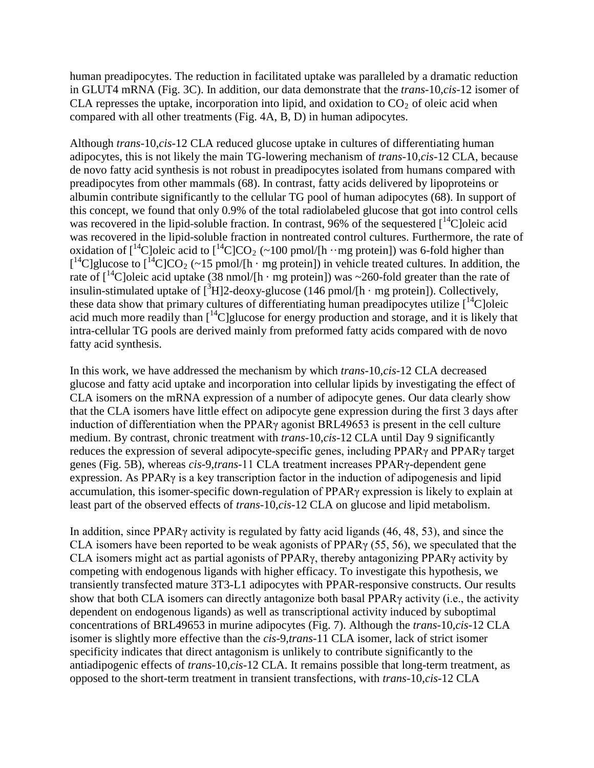human preadipocytes. The reduction in facilitated uptake was paralleled by a dramatic reduction in GLUT4 mRNA (Fig. 3C). In addition, our data demonstrate that the *trans*-10,*cis*-12 isomer of CLA represses the uptake, incorporation into lipid, and oxidation to  $CO<sub>2</sub>$  of oleic acid when compared with all other treatments (Fig. 4A, B, D) in human adipocytes.

Although *trans*-10,*cis*-12 CLA reduced glucose uptake in cultures of differentiating human adipocytes, this is not likely the main TG-lowering mechanism of *trans*-10,*cis*-12 CLA, because de novo fatty acid synthesis is not robust in preadipocytes isolated from humans compared with preadipocytes from other mammals (68). In contrast, fatty acids delivered by lipoproteins or albumin contribute significantly to the cellular TG pool of human adipocytes (68). In support of this concept, we found that only 0.9% of the total radiolabeled glucose that got into control cells was recovered in the lipid-soluble fraction. In contrast, 96% of the sequestered  $\int_1^{14}$ C oleic acid was recovered in the lipid-soluble fraction in nontreated control cultures. Furthermore, the rate of oxidation of  $\left[ {}^{14}C \right]$ oleic acid to  $\left[ {}^{14}C \right] CO_2$  (~100 pmol/[h ··mg protein]) was 6-fold higher than  $\left[ {}^{14}C \right]$ glucose to  $\left[ {}^{14}C \right] CO_2$  (~15 pmol/[h · mg protein]) in vehicle treated cultures. In addition, the rate of  $\int_0^{14}$ C]oleic acid uptake (38 nmol/[h · mg protein]) was ~260-fold greater than the rate of insulin-stimulated uptake of  $\left[\text{^{3}H}\right]$ 2-deoxy-glucose (146 pmol/[h · mg protein]). Collectively, these data show that primary cultures of differentiating human preadipocytes utilize  $[{}^{14}C]$ oleic acid much more readily than  $\left[{}^{14}$ C]glucose for energy production and storage, and it is likely that intra-cellular TG pools are derived mainly from preformed fatty acids compared with de novo fatty acid synthesis.

In this work, we have addressed the mechanism by which *trans*-10,*cis*-12 CLA decreased glucose and fatty acid uptake and incorporation into cellular lipids by investigating the effect of CLA isomers on the mRNA expression of a number of adipocyte genes. Our data clearly show that the CLA isomers have little effect on adipocyte gene expression during the first 3 days after induction of differentiation when the PPARγ agonist BRL49653 is present in the cell culture medium. By contrast, chronic treatment with *trans*-10,*cis*-12 CLA until Day 9 significantly reduces the expression of several adipocyte-specific genes, including PPARγ and PPARγ target genes (Fig. 5B), whereas *cis*-9,*trans*-11 CLA treatment increases PPARγ-dependent gene expression. As PPARγ is a key transcription factor in the induction of adipogenesis and lipid accumulation, this isomer-specific down-regulation of PPARγ expression is likely to explain at least part of the observed effects of *trans*-10,*cis*-12 CLA on glucose and lipid metabolism.

In addition, since PPARγ activity is regulated by fatty acid ligands (46, 48, 53), and since the CLA isomers have been reported to be weak agonists of PPARγ (55, 56), we speculated that the CLA isomers might act as partial agonists of PPARγ, thereby antagonizing PPARγ activity by competing with endogenous ligands with higher efficacy. To investigate this hypothesis, we transiently transfected mature 3T3-L1 adipocytes with PPAR-responsive constructs. Our results show that both CLA isomers can directly antagonize both basal PPARγ activity (i.e., the activity dependent on endogenous ligands) as well as transcriptional activity induced by suboptimal concentrations of BRL49653 in murine adipocytes (Fig. 7). Although the *trans*-10,*cis*-12 CLA isomer is slightly more effective than the *cis*-9,*trans*-11 CLA isomer, lack of strict isomer specificity indicates that direct antagonism is unlikely to contribute significantly to the antiadipogenic effects of *trans*-10,*cis*-12 CLA. It remains possible that long-term treatment, as opposed to the short-term treatment in transient transfections, with *trans*-10,*cis*-12 CLA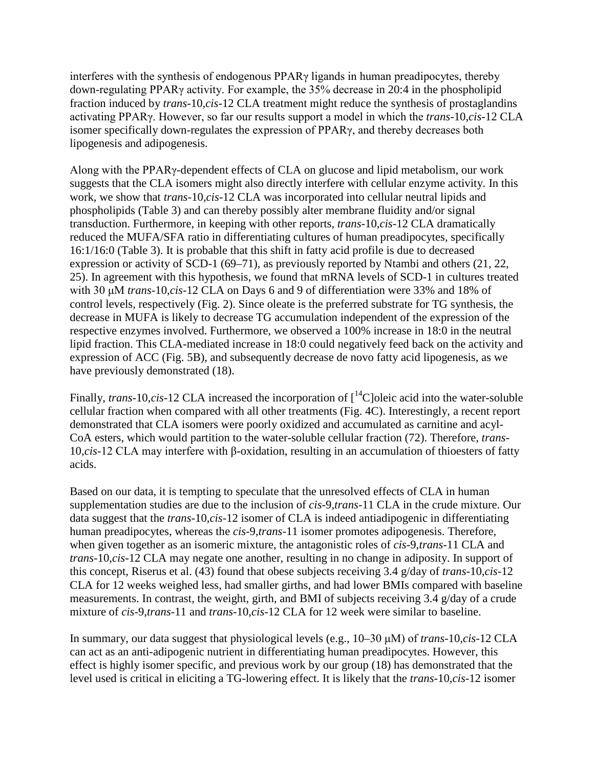interferes with the synthesis of endogenous PPARγ ligands in human preadipocytes, thereby down-regulating PPARγ activity. For example, the 35% decrease in 20:4 in the phospholipid fraction induced by *trans*-10,*cis*-12 CLA treatment might reduce the synthesis of prostaglandins activating PPARγ. However, so far our results support a model in which the *trans*-10,*cis*-12 CLA isomer specifically down-regulates the expression of PPARγ, and thereby decreases both lipogenesis and adipogenesis.

Along with the PPARγ-dependent effects of CLA on glucose and lipid metabolism, our work suggests that the CLA isomers might also directly interfere with cellular enzyme activity. In this work, we show that *trans*-10,*cis*-12 CLA was incorporated into cellular neutral lipids and phospholipids (Table 3) and can thereby possibly alter membrane fluidity and/or signal transduction. Furthermore, in keeping with other reports, *trans*-10,*cis*-12 CLA dramatically reduced the MUFA/SFA ratio in differentiating cultures of human preadipocytes, specifically 16:1/16:0 (Table 3). It is probable that this shift in fatty acid profile is due to decreased expression or activity of SCD-1 (69–71), as previously reported by Ntambi and others (21, 22, 25). In agreement with this hypothesis, we found that mRNA levels of SCD-1 in cultures treated with 30 μM *trans*-10,*cis*-12 CLA on Days 6 and 9 of differentiation were 33% and 18% of control levels, respectively (Fig. 2). Since oleate is the preferred substrate for TG synthesis, the decrease in MUFA is likely to decrease TG accumulation independent of the expression of the respective enzymes involved. Furthermore, we observed a 100% increase in 18:0 in the neutral lipid fraction. This CLA-mediated increase in 18:0 could negatively feed back on the activity and expression of ACC (Fig. 5B), and subsequently decrease de novo fatty acid lipogenesis, as we have previously demonstrated (18).

Finally, *trans*-10,*cis*-12 CLA increased the incorporation of  $\int_0^{14}$ C oleic acid into the water-soluble cellular fraction when compared with all other treatments (Fig. 4C). Interestingly, a recent report demonstrated that CLA isomers were poorly oxidized and accumulated as carnitine and acyl-CoA esters, which would partition to the water-soluble cellular fraction (72). Therefore, *trans*-10,*cis*-12 CLA may interfere with β-oxidation, resulting in an accumulation of thioesters of fatty acids.

Based on our data, it is tempting to speculate that the unresolved effects of CLA in human supplementation studies are due to the inclusion of *cis*-9,*trans*-11 CLA in the crude mixture. Our data suggest that the *trans*-10,*cis*-12 isomer of CLA is indeed antiadipogenic in differentiating human preadipocytes, whereas the *cis*-9,*trans*-11 isomer promotes adipogenesis. Therefore, when given together as an isomeric mixture, the antagonistic roles of *cis*-9,*trans*-11 CLA and *trans*-10,*cis*-12 CLA may negate one another, resulting in no change in adiposity. In support of this concept, Riserus et al. (43) found that obese subjects receiving 3.4 g/day of *trans*-10,*cis*-12 CLA for 12 weeks weighed less, had smaller girths, and had lower BMIs compared with baseline measurements. In contrast, the weight, girth, and BMI of subjects receiving 3.4 g/day of a crude mixture of *cis*-9,*trans*-11 and *trans*-10,*cis*-12 CLA for 12 week were similar to baseline.

In summary, our data suggest that physiological levels (e.g., 10–30 μM) of *trans*-10,*cis*-12 CLA can act as an anti-adipogenic nutrient in differentiating human preadipocytes. However, this effect is highly isomer specific, and previous work by our group (18) has demonstrated that the level used is critical in eliciting a TG-lowering effect. It is likely that the *trans*-10,*cis*-12 isomer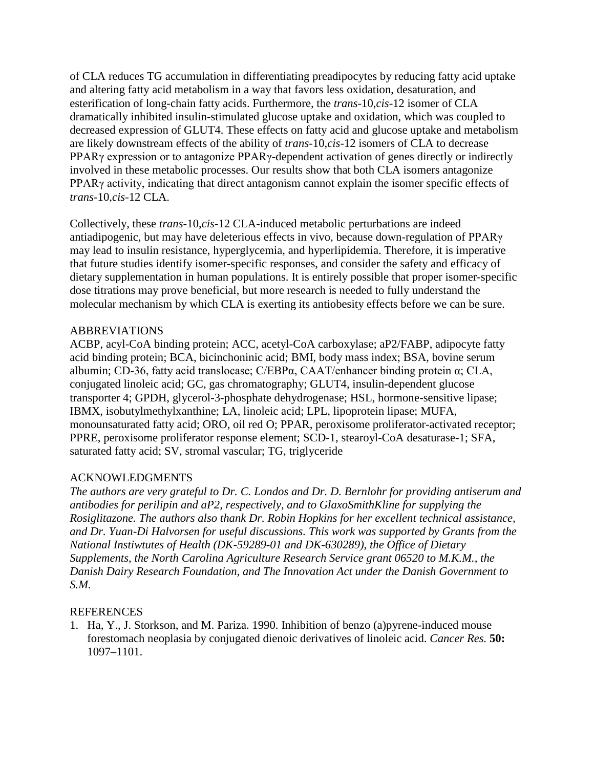of CLA reduces TG accumulation in differentiating preadipocytes by reducing fatty acid uptake and altering fatty acid metabolism in a way that favors less oxidation, desaturation, and esterification of long-chain fatty acids. Furthermore, the *trans*-10,*cis*-12 isomer of CLA dramatically inhibited insulin-stimulated glucose uptake and oxidation, which was coupled to decreased expression of GLUT4. These effects on fatty acid and glucose uptake and metabolism are likely downstream effects of the ability of *trans*-10,*cis*-12 isomers of CLA to decrease PPARγ expression or to antagonize PPARγ-dependent activation of genes directly or indirectly involved in these metabolic processes. Our results show that both CLA isomers antagonize PPARγ activity, indicating that direct antagonism cannot explain the isomer specific effects of *trans*-10,*cis*-12 CLA.

Collectively, these *trans*-10,*cis*-12 CLA-induced metabolic perturbations are indeed antiadipogenic, but may have deleterious effects in vivo, because down-regulation of PPARγ may lead to insulin resistance, hyperglycemia, and hyperlipidemia. Therefore, it is imperative that future studies identify isomer-specific responses, and consider the safety and efficacy of dietary supplementation in human populations. It is entirely possible that proper isomer-specific dose titrations may prove beneficial, but more research is needed to fully understand the molecular mechanism by which CLA is exerting its antiobesity effects before we can be sure.

### ABBREVIATIONS

ACBP, acyl-CoA binding protein; ACC, acetyl-CoA carboxylase; aP2/FABP, adipocyte fatty acid binding protein; BCA, bicinchoninic acid; BMI, body mass index; BSA, bovine serum albumin; CD-36, fatty acid translocase; C/EBPα, CAAT/enhancer binding protein α; CLA, conjugated linoleic acid; GC, gas chromatography; GLUT4, insulin-dependent glucose transporter 4; GPDH, glycerol-3-phosphate dehydrogenase; HSL, hormone-sensitive lipase; IBMX, isobutylmethylxanthine; LA, linoleic acid; LPL, lipoprotein lipase; MUFA, monounsaturated fatty acid; ORO, oil red O; PPAR, peroxisome proliferator-activated receptor; PPRE, peroxisome proliferator response element; SCD-1, stearoyl-CoA desaturase-1; SFA, saturated fatty acid; SV, stromal vascular; TG, triglyceride

## ACKNOWLEDGMENTS

*The authors are very grateful to Dr. C. Londos and Dr. D. Bernlohr for providing antiserum and antibodies for perilipin and aP2, respectively, and to GlaxoSmithKline for supplying the Rosiglitazone. The authors also thank Dr. Robin Hopkins for her excellent technical assistance, and Dr. Yuan-Di Halvorsen for useful discussions. This work was supported by Grants from the National Instiwtutes of Health (DK-59289-01 and DK-630289), the Office of Dietary Supplements, the North Carolina Agriculture Research Service grant 06520 to M.K.M., the Danish Dairy Research Foundation, and The Innovation Act under the Danish Government to S.M.*

### **REFERENCES**

1. Ha, Y., J. Storkson, and M. Pariza. 1990. Inhibition of benzo (a)pyrene-induced mouse forestomach neoplasia by conjugated dienoic derivatives of linoleic acid. *Cancer Res.* **50:**  1097–1101.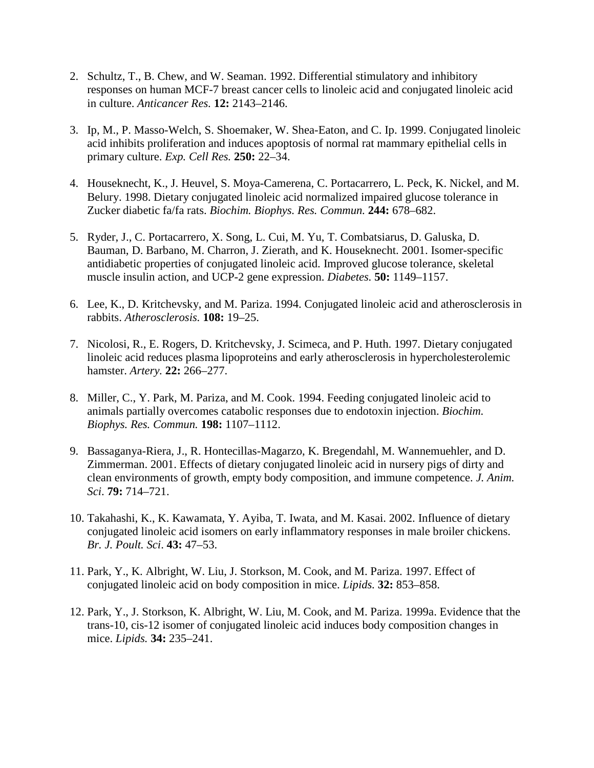- 2. Schultz, T., B. Chew, and W. Seaman. 1992. Differential stimulatory and inhibitory responses on human MCF-7 breast cancer cells to linoleic acid and conjugated linoleic acid in culture. *Anticancer Res.* **12:** 2143–2146.
- 3. Ip, M., P. Masso-Welch, S. Shoemaker, W. Shea-Eaton, and C. Ip. 1999. Conjugated linoleic acid inhibits proliferation and induces apoptosis of normal rat mammary epithelial cells in primary culture. *Exp. Cell Res.* **250:** 22–34.
- 4. Houseknecht, K., J. Heuvel, S. Moya-Camerena, C. Portacarrero, L. Peck, K. Nickel, and M. Belury. 1998. Dietary conjugated linoleic acid normalized impaired glucose tolerance in Zucker diabetic fa/fa rats. *Biochim. Biophys. Res. Commun.* **244:** 678–682.
- 5. Ryder, J., C. Portacarrero, X. Song, L. Cui, M. Yu, T. Combatsiarus, D. Galuska, D. Bauman, D. Barbano, M. Charron, J. Zierath, and K. Houseknecht. 2001. Isomer-specific antidiabetic properties of conjugated linoleic acid. Improved glucose tolerance, skeletal muscle insulin action, and UCP-2 gene expression. *Diabetes.* **50:** 1149–1157.
- 6. Lee, K., D. Kritchevsky, and M. Pariza. 1994. Conjugated linoleic acid and atherosclerosis in rabbits. *Atherosclerosis.* **108:** 19–25.
- 7. Nicolosi, R., E. Rogers, D. Kritchevsky, J. Scimeca, and P. Huth. 1997. Dietary conjugated linoleic acid reduces plasma lipoproteins and early atherosclerosis in hypercholesterolemic hamster. *Artery.* **22:** 266–277.
- 8. Miller, C., Y. Park, M. Pariza, and M. Cook. 1994. Feeding conjugated linoleic acid to animals partially overcomes catabolic responses due to endotoxin injection. *Biochim. Biophys. Res. Commun.* **198:** 1107–1112.
- 9. Bassaganya-Riera, J., R. Hontecillas-Magarzo, K. Bregendahl, M. Wannemuehler, and D. Zimmerman. 2001. Effects of dietary conjugated linoleic acid in nursery pigs of dirty and clean environments of growth, empty body composition, and immune competence. *J. Anim. Sci*. **79:** 714–721.
- 10. Takahashi, K., K. Kawamata, Y. Ayiba, T. Iwata, and M. Kasai. 2002. Influence of dietary conjugated linoleic acid isomers on early inflammatory responses in male broiler chickens. *Br. J. Poult. Sci*. **43:** 47–53.
- 11. Park, Y., K. Albright, W. Liu, J. Storkson, M. Cook, and M. Pariza. 1997. Effect of conjugated linoleic acid on body composition in mice. *Lipids.* **32:** 853–858.
- 12. Park, Y., J. Storkson, K. Albright, W. Liu, M. Cook, and M. Pariza. 1999a. Evidence that the trans-10, cis-12 isomer of conjugated linoleic acid induces body composition changes in mice. *Lipids.* **34:** 235–241.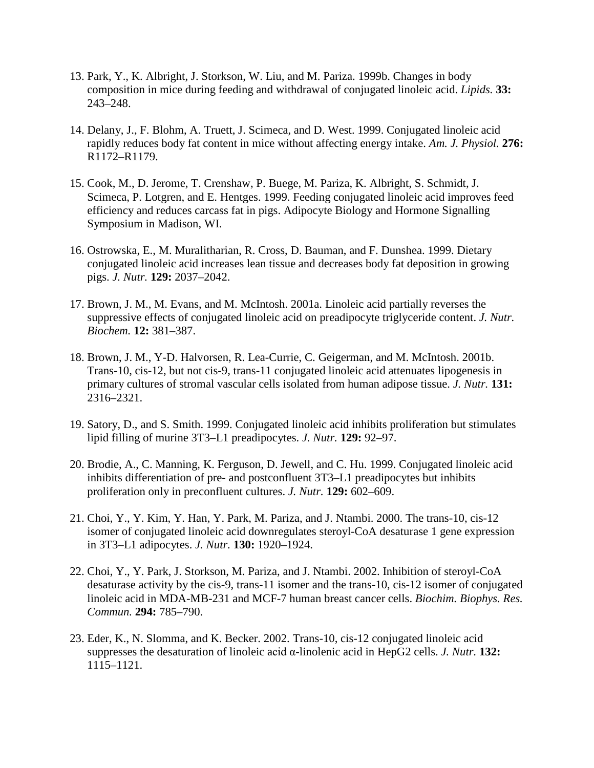- 13. Park, Y., K. Albright, J. Storkson, W. Liu, and M. Pariza. 1999b. Changes in body composition in mice during feeding and withdrawal of conjugated linoleic acid. *Lipids.* **33:**  243–248.
- 14. Delany, J., F. Blohm, A. Truett, J. Scimeca, and D. West. 1999. Conjugated linoleic acid rapidly reduces body fat content in mice without affecting energy intake. *Am. J. Physiol.* **276:**  R1172–R1179.
- 15. Cook, M., D. Jerome, T. Crenshaw, P. Buege, M. Pariza, K. Albright, S. Schmidt, J. Scimeca, P. Lotgren, and E. Hentges. 1999. Feeding conjugated linoleic acid improves feed efficiency and reduces carcass fat in pigs. Adipocyte Biology and Hormone Signalling Symposium in Madison, WI.
- 16. Ostrowska, E., M. Muralitharian, R. Cross, D. Bauman, and F. Dunshea. 1999. Dietary conjugated linoleic acid increases lean tissue and decreases body fat deposition in growing pigs. *J. Nutr.* **129:** 2037–2042.
- 17. Brown, J. M., M. Evans, and M. McIntosh. 2001a. Linoleic acid partially reverses the suppressive effects of conjugated linoleic acid on preadipocyte triglyceride content. *J. Nutr. Biochem.* **12:** 381–387.
- 18. Brown, J. M., Y-D. Halvorsen, R. Lea-Currie, C. Geigerman, and M. McIntosh. 2001b. Trans-10, cis-12, but not cis-9, trans-11 conjugated linoleic acid attenuates lipogenesis in primary cultures of stromal vascular cells isolated from human adipose tissue. *J. Nutr.* **131:**  2316–2321.
- 19. Satory, D., and S. Smith. 1999. Conjugated linoleic acid inhibits proliferation but stimulates lipid filling of murine 3T3–L1 preadipocytes. *J. Nutr.* **129:** 92–97.
- 20. Brodie, A., C. Manning, K. Ferguson, D. Jewell, and C. Hu. 1999. Conjugated linoleic acid inhibits differentiation of pre- and postconfluent 3T3–L1 preadipocytes but inhibits proliferation only in preconfluent cultures. *J. Nutr.* **129:** 602–609.
- 21. Choi, Y., Y. Kim, Y. Han, Y. Park, M. Pariza, and J. Ntambi. 2000. The trans-10, cis-12 isomer of conjugated linoleic acid downregulates steroyl-CoA desaturase 1 gene expression in 3T3–L1 adipocytes. *J. Nutr.* **130:** 1920–1924.
- 22. Choi, Y., Y. Park, J. Storkson, M. Pariza, and J. Ntambi. 2002. Inhibition of steroyl-CoA desaturase activity by the cis-9, trans-11 isomer and the trans-10, cis-12 isomer of conjugated linoleic acid in MDA-MB-231 and MCF-7 human breast cancer cells. *Biochim. Biophys. Res. Commun.* **294:** 785–790.
- 23. Eder, K., N. Slomma, and K. Becker. 2002. Trans-10, cis-12 conjugated linoleic acid suppresses the desaturation of linoleic acid α-linolenic acid in HepG2 cells. *J. Nutr.* **132:**  1115–1121.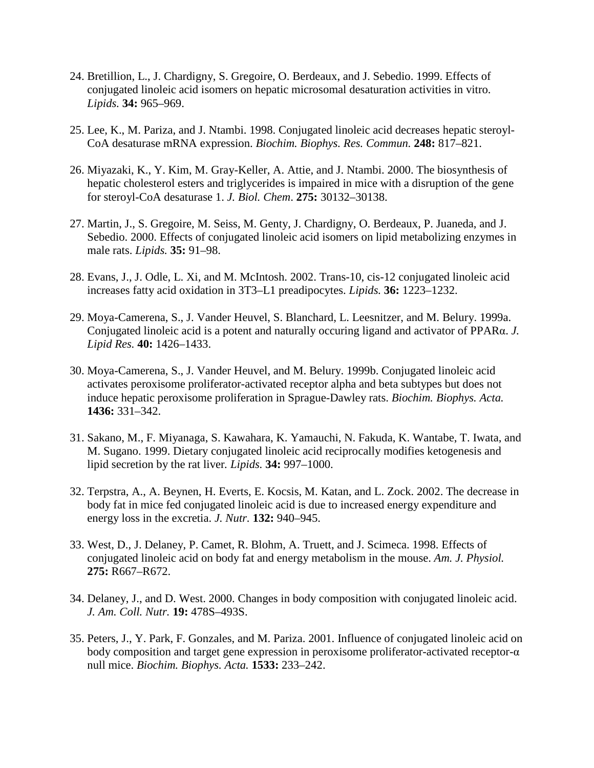- 24. Bretillion, L., J. Chardigny, S. Gregoire, O. Berdeaux, and J. Sebedio. 1999. Effects of conjugated linoleic acid isomers on hepatic microsomal desaturation activities in vitro. *Lipids.* **34:** 965–969.
- 25. Lee, K., M. Pariza, and J. Ntambi. 1998. Conjugated linoleic acid decreases hepatic steroyl-CoA desaturase mRNA expression. *Biochim. Biophys. Res. Commun.* **248:** 817–821.
- 26. Miyazaki, K., Y. Kim, M. Gray-Keller, A. Attie, and J. Ntambi. 2000. The biosynthesis of hepatic cholesterol esters and triglycerides is impaired in mice with a disruption of the gene for steroyl-CoA desaturase 1. *J. Biol. Chem*. **275:** 30132–30138.
- 27. Martin, J., S. Gregoire, M. Seiss, M. Genty, J. Chardigny, O. Berdeaux, P. Juaneda, and J. Sebedio. 2000. Effects of conjugated linoleic acid isomers on lipid metabolizing enzymes in male rats. *Lipids.* **35:** 91–98.
- 28. Evans, J., J. Odle, L. Xi, and M. McIntosh. 2002. Trans-10, cis-12 conjugated linoleic acid increases fatty acid oxidation in 3T3–L1 preadipocytes. *Lipids.* **36:** 1223–1232.
- 29. Moya-Camerena, S., J. Vander Heuvel, S. Blanchard, L. Leesnitzer, and M. Belury. 1999a. Conjugated linoleic acid is a potent and naturally occuring ligand and activator of PPARα. *J. Lipid Res.* **40:** 1426–1433.
- 30. Moya-Camerena, S., J. Vander Heuvel, and M. Belury. 1999b. Conjugated linoleic acid activates peroxisome proliferator-activated receptor alpha and beta subtypes but does not induce hepatic peroxisome proliferation in Sprague-Dawley rats. *Biochim. Biophys. Acta.* **1436:** 331–342.
- 31. Sakano, M., F. Miyanaga, S. Kawahara, K. Yamauchi, N. Fakuda, K. Wantabe, T. Iwata, and M. Sugano. 1999. Dietary conjugated linoleic acid reciprocally modifies ketogenesis and lipid secretion by the rat liver*. Lipids.* **34:** 997–1000.
- 32. Terpstra, A., A. Beynen, H. Everts, E. Kocsis, M. Katan, and L. Zock. 2002. The decrease in body fat in mice fed conjugated linoleic acid is due to increased energy expenditure and energy loss in the excretia. *J. Nutr.* **132:** 940–945.
- 33. West, D., J. Delaney, P. Camet, R. Blohm, A. Truett, and J. Scimeca. 1998. Effects of conjugated linoleic acid on body fat and energy metabolism in the mouse. *Am. J. Physiol.*  **275:** R667–R672.
- 34. Delaney, J., and D. West. 2000. Changes in body composition with conjugated linoleic acid. *J. Am. Coll. Nutr.* **19:** 478S–493S.
- 35. Peters, J., Y. Park, F. Gonzales, and M. Pariza. 2001. Influence of conjugated linoleic acid on body composition and target gene expression in peroxisome proliferator-activated receptor-α null mice. *Biochim. Biophys. Acta.* **1533:** 233–242.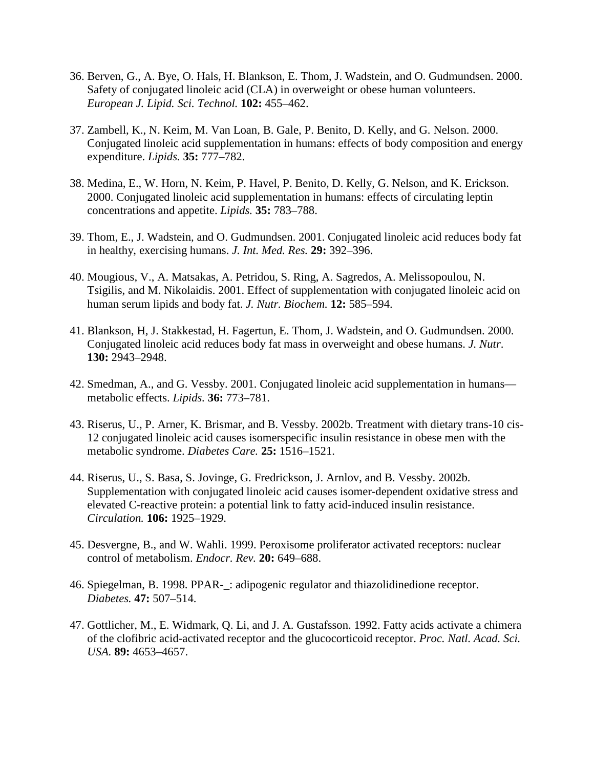- 36. Berven, G., A. Bye, O. Hals, H. Blankson, E. Thom, J. Wadstein, and O. Gudmundsen. 2000. Safety of conjugated linoleic acid (CLA) in overweight or obese human volunteers. *European J. Lipid. Sci. Technol.* **102:** 455–462.
- 37. Zambell, K., N. Keim, M. Van Loan, B. Gale, P. Benito, D. Kelly, and G. Nelson. 2000. Conjugated linoleic acid supplementation in humans: effects of body composition and energy expenditure. *Lipids.* **35:** 777–782.
- 38. Medina, E., W. Horn, N. Keim, P. Havel, P. Benito, D. Kelly, G. Nelson, and K. Erickson. 2000. Conjugated linoleic acid supplementation in humans: effects of circulating leptin concentrations and appetite. *Lipids.* **35:** 783–788.
- 39. Thom, E., J. Wadstein, and O. Gudmundsen. 2001. Conjugated linoleic acid reduces body fat in healthy, exercising humans. *J. Int. Med. Res.* **29:** 392–396.
- 40. Mougious, V., A. Matsakas, A. Petridou, S. Ring, A. Sagredos, A. Melissopoulou, N. Tsigilis, and M. Nikolaidis. 2001. Effect of supplementation with conjugated linoleic acid on human serum lipids and body fat. *J. Nutr. Biochem.* **12:** 585–594.
- 41. Blankson, H, J. Stakkestad, H. Fagertun, E. Thom, J. Wadstein, and O. Gudmundsen. 2000. Conjugated linoleic acid reduces body fat mass in overweight and obese humans. *J. Nutr*. **130:** 2943–2948.
- 42. Smedman, A., and G. Vessby. 2001. Conjugated linoleic acid supplementation in humans metabolic effects. *Lipids.* **36:** 773–781.
- 43. Riserus, U., P. Arner, K. Brismar, and B. Vessby. 2002b. Treatment with dietary trans-10 cis-12 conjugated linoleic acid causes isomerspecific insulin resistance in obese men with the metabolic syndrome. *Diabetes Care.* **25:** 1516–1521.
- 44. Riserus, U., S. Basa, S. Jovinge, G. Fredrickson, J. Arnlov, and B. Vessby. 2002b. Supplementation with conjugated linoleic acid causes isomer-dependent oxidative stress and elevated C-reactive protein: a potential link to fatty acid-induced insulin resistance. *Circulation.* **106:** 1925–1929.
- 45. Desvergne, B., and W. Wahli. 1999. Peroxisome proliferator activated receptors: nuclear control of metabolism. *Endocr. Rev.* **20:** 649–688.
- 46. Spiegelman, B. 1998. PPAR-\_: adipogenic regulator and thiazolidinedione receptor. *Diabetes.* **47:** 507–514.
- 47. Gottlicher, M., E. Widmark, Q. Li, and J. A. Gustafsson. 1992. Fatty acids activate a chimera of the clofibric acid-activated receptor and the glucocorticoid receptor. *Proc. Natl. Acad. Sci. USA.* **89:** 4653–4657.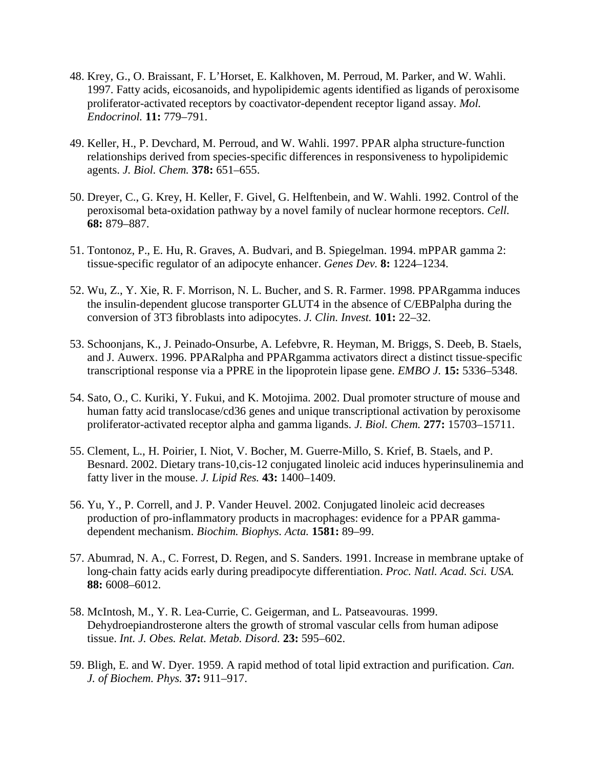- 48. Krey, G., O. Braissant, F. L'Horset, E. Kalkhoven, M. Perroud, M. Parker, and W. Wahli. 1997. Fatty acids, eicosanoids, and hypolipidemic agents identified as ligands of peroxisome proliferator-activated receptors by coactivator-dependent receptor ligand assay. *Mol. Endocrinol.* **11:** 779–791.
- 49. Keller, H., P. Devchard, M. Perroud, and W. Wahli. 1997. PPAR alpha structure-function relationships derived from species-specific differences in responsiveness to hypolipidemic agents. *J. Biol. Chem.* **378:** 651–655.
- 50. Dreyer, C., G. Krey, H. Keller, F. Givel, G. Helftenbein, and W. Wahli. 1992. Control of the peroxisomal beta-oxidation pathway by a novel family of nuclear hormone receptors. *Cell.*  **68:** 879–887.
- 51. Tontonoz, P., E. Hu, R. Graves, A. Budvari, and B. Spiegelman. 1994. mPPAR gamma 2: tissue-specific regulator of an adipocyte enhancer. *Genes Dev.* **8:** 1224–1234.
- 52. Wu, Z., Y. Xie, R. F. Morrison, N. L. Bucher, and S. R. Farmer. 1998. PPARgamma induces the insulin-dependent glucose transporter GLUT4 in the absence of C/EBPalpha during the conversion of 3T3 fibroblasts into adipocytes. *J. Clin. Invest.* **101:** 22–32.
- 53. Schoonjans, K., J. Peinado-Onsurbe, A. Lefebvre, R. Heyman, M. Briggs, S. Deeb, B. Staels, and J. Auwerx. 1996. PPARalpha and PPARgamma activators direct a distinct tissue-specific transcriptional response via a PPRE in the lipoprotein lipase gene. *EMBO J.* **15:** 5336–5348.
- 54. Sato, O., C. Kuriki, Y. Fukui, and K. Motojima. 2002. Dual promoter structure of mouse and human fatty acid translocase/cd36 genes and unique transcriptional activation by peroxisome proliferator-activated receptor alpha and gamma ligands. *J. Biol. Chem.* **277:** 15703–15711.
- 55. Clement, L., H. Poirier, I. Niot, V. Bocher, M. Guerre-Millo, S. Krief, B. Staels, and P. Besnard. 2002. Dietary trans-10,cis-12 conjugated linoleic acid induces hyperinsulinemia and fatty liver in the mouse. *J. Lipid Res.* **43:** 1400–1409.
- 56. Yu, Y., P. Correll, and J. P. Vander Heuvel. 2002. Conjugated linoleic acid decreases production of pro-inflammatory products in macrophages: evidence for a PPAR gammadependent mechanism. *Biochim. Biophys. Acta.* **1581:** 89–99.
- 57. Abumrad, N. A., C. Forrest, D. Regen, and S. Sanders. 1991. Increase in membrane uptake of long-chain fatty acids early during preadipocyte differentiation. *Proc. Natl. Acad. Sci. USA.*  **88:** 6008–6012.
- 58. McIntosh, M., Y. R. Lea-Currie, C. Geigerman, and L. Patseavouras. 1999. Dehydroepiandrosterone alters the growth of stromal vascular cells from human adipose tissue. *Int. J. Obes. Relat. Metab. Disord.* **23:** 595–602.
- 59. Bligh, E. and W. Dyer. 1959. A rapid method of total lipid extraction and purification. *Can. J. of Biochem. Phys.* **37:** 911–917.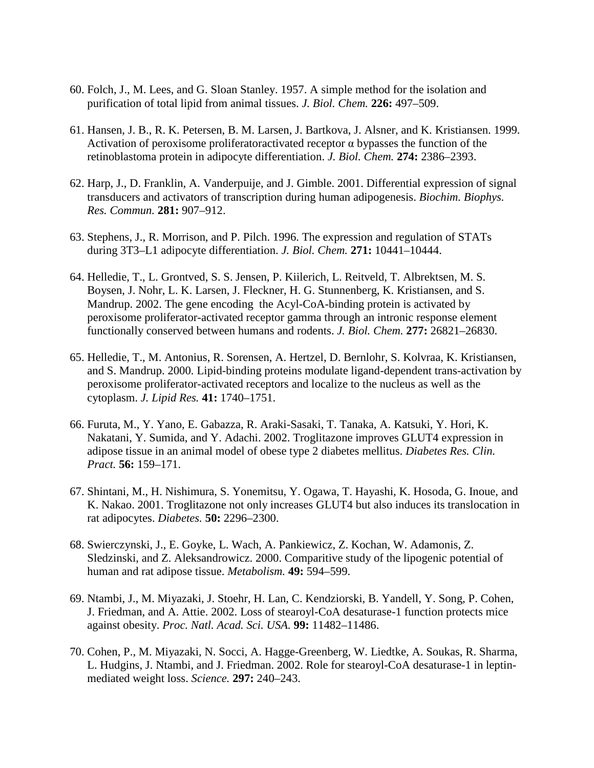- 60. Folch, J., M. Lees, and G. Sloan Stanley. 1957. A simple method for the isolation and purification of total lipid from animal tissues. *J. Biol. Chem.* **226:** 497–509.
- 61. Hansen, J. B., R. K. Petersen, B. M. Larsen, J. Bartkova, J. Alsner, and K. Kristiansen. 1999. Activation of peroxisome proliferatoractivated receptor α bypasses the function of the retinoblastoma protein in adipocyte differentiation. *J. Biol. Chem.* **274:** 2386–2393.
- 62. Harp, J., D. Franklin, A. Vanderpuije, and J. Gimble. 2001. Differential expression of signal transducers and activators of transcription during human adipogenesis. *Biochim. Biophys. Res. Commun.* **281:** 907–912.
- 63. Stephens, J., R. Morrison, and P. Pilch. 1996. The expression and regulation of STATs during 3T3–L1 adipocyte differentiation. *J. Biol. Chem.* **271:** 10441–10444.
- 64. Helledie, T., L. Grontved, S. S. Jensen, P. Kiilerich, L. Reitveld, T. Albrektsen, M. S. Boysen, J. Nohr, L. K. Larsen, J. Fleckner, H. G. Stunnenberg, K. Kristiansen, and S. Mandrup. 2002. The gene encoding the Acyl-CoA-binding protein is activated by peroxisome proliferator-activated receptor gamma through an intronic response element functionally conserved between humans and rodents. *J. Biol. Chem.* **277:** 26821–26830.
- 65. Helledie, T., M. Antonius, R. Sorensen, A. Hertzel, D. Bernlohr, S. Kolvraa, K. Kristiansen, and S. Mandrup. 2000. Lipid-binding proteins modulate ligand-dependent trans-activation by peroxisome proliferator-activated receptors and localize to the nucleus as well as the cytoplasm. *J. Lipid Res.* **41:** 1740–1751.
- 66. Furuta, M., Y. Yano, E. Gabazza, R. Araki-Sasaki, T. Tanaka, A. Katsuki, Y. Hori, K. Nakatani, Y. Sumida, and Y. Adachi. 2002. Troglitazone improves GLUT4 expression in adipose tissue in an animal model of obese type 2 diabetes mellitus. *Diabetes Res. Clin. Pract.* **56:** 159–171.
- 67. Shintani, M., H. Nishimura, S. Yonemitsu, Y. Ogawa, T. Hayashi, K. Hosoda, G. Inoue, and K. Nakao. 2001. Troglitazone not only increases GLUT4 but also induces its translocation in rat adipocytes. *Diabetes.* **50:** 2296–2300.
- 68. Swierczynski, J., E. Goyke, L. Wach, A. Pankiewicz, Z. Kochan, W. Adamonis, Z. Sledzinski, and Z. Aleksandrowicz. 2000. Comparitive study of the lipogenic potential of human and rat adipose tissue. *Metabolism.* **49:** 594–599.
- 69. Ntambi, J., M. Miyazaki, J. Stoehr, H. Lan, C. Kendziorski, B. Yandell, Y. Song, P. Cohen, J. Friedman, and A. Attie. 2002. Loss of stearoyl-CoA desaturase-1 function protects mice against obesity. *Proc. Natl. Acad. Sci. USA.* **99:** 11482–11486.
- 70. Cohen, P., M. Miyazaki, N. Socci, A. Hagge-Greenberg, W. Liedtke, A. Soukas, R. Sharma, L. Hudgins, J. Ntambi, and J. Friedman. 2002. Role for stearoyl-CoA desaturase-1 in leptinmediated weight loss. *Science.* **297:** 240–243.